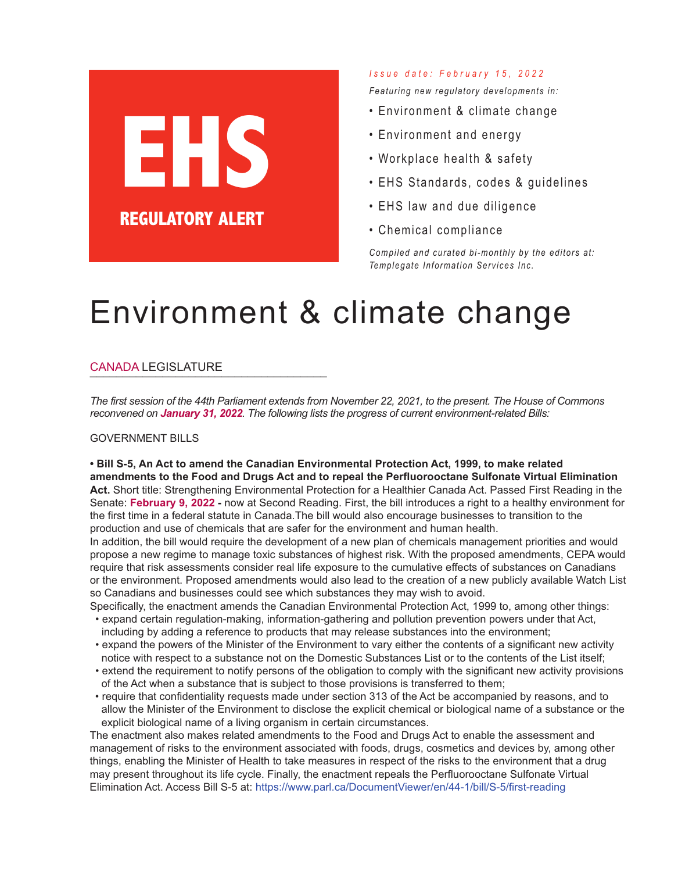# **EHS REGULATORY ALERT**

#### *I s s u e d a t e : F e b r u a r y 1 5 , 2 0 2 2*

*Featuring new regulatory developments in:*

- Environment & climate change
- Environment and energy
- Workplace health & safety
- EHS Standards, codes & guidelines
- EHS law and due diligence
- Chemical compliance

*Compi led and curated bi-monthly by the editors at: Templegate Information Services Inc.*

## Environment & climate change

#### CANADA LEGISLATURE

The first session of the 44th Parliament extends from November 22, 2021, to the present. The House of Commons *reconvened on January 31, 2022. The following lists the progress of current environment-related Bills:*

#### GOVERNMENT BILLS

#### **• Bill S-5, An Act to amend the Canadian Environmental Protection Act, 1999, to make related amendments to the Food and Drugs Act and to repeal the Perfluorooctane Sulfonate Virtual Elimination**

**Act.** Short title: Strengthening Environmental Protection for a Healthier Canada Act. Passed First Reading in the Senate: **February 9, 2022 -** now at Second Reading. First, the bill introduces a right to a healthy environment for the first time in a federal statute in Canada.The bill would also encourage businesses to transition to the production and use of chemicals that are safer for the environment and human health.

In addition, the bill would require the development of a new plan of chemicals management priorities and would propose a new regime to manage toxic substances of highest risk. With the proposed amendments, CEPA would require that risk assessments consider real life exposure to the cumulative effects of substances on Canadians or the environment. Proposed amendments would also lead to the creation of a new publicly available Watch List so Canadians and businesses could see which substances they may wish to avoid.

Specifically, the enactment amends the Canadian Environmental Protection Act, 1999 to, among other things: • expand certain regulation-making, information-gathering and pollution prevention powers under that Act,

- including by adding a reference to products that may release substances into the environment;
- expand the powers of the Minister of the Environment to vary either the contents of a significant new activity notice with respect to a substance not on the Domestic Substances List or to the contents of the List itself;
- extend the requirement to notify persons of the obligation to comply with the significant new activity provisions of the Act when a substance that is subject to those provisions is transferred to them;
- require that confidentiality requests made under section 313 of the Act be accompanied by reasons, and to allow the Minister of the Environment to disclose the explicit chemical or biological name of a substance or the explicit biological name of a living organism in certain circumstances.

The enactment also makes related amendments to the Food and Drugs Act to enable the assessment and management of risks to the environment associated with foods, drugs, cosmetics and devices by, among other things, enabling the Minister of Health to take measures in respect of the risks to the environment that a drug may present throughout its life cycle. Finally, the enactment repeals the Perfluorooctane Sulfonate Virtual Elimination Act. Access Bill S-5 at: https://www.parl.ca/DocumentViewer/en/44-1/bill/S-5/first-reading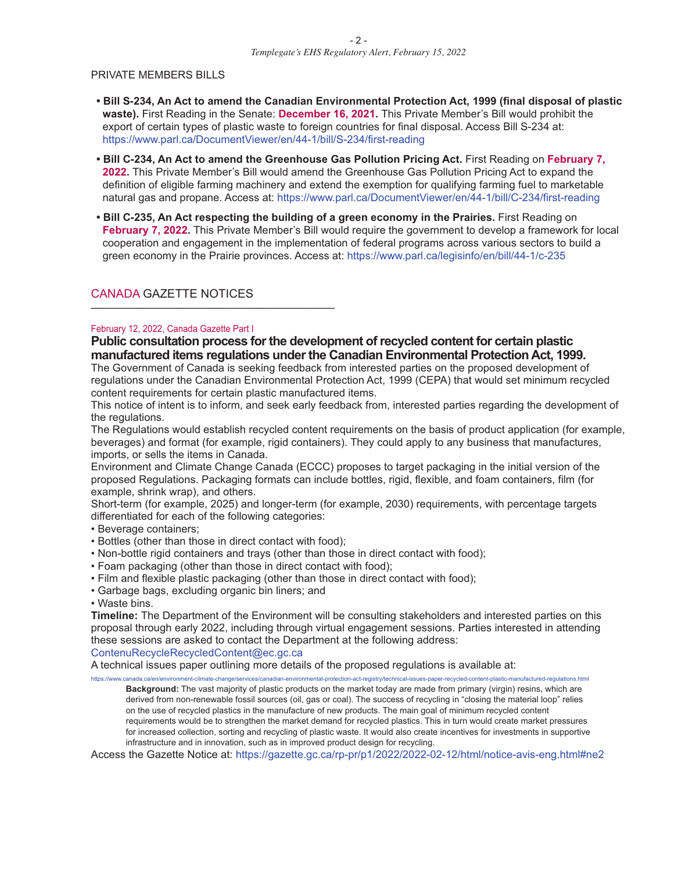#### PRIVATE MEMBERS BILLS

- **• Bill S-234, An Act to amend the Canadian Environmental Protection Act, 1999 (final disposal of plastic waste).** First Reading in the Senate: **December 16, 2021.** This Private Member's Bill would prohibit the export of certain types of plastic waste to foreign countries for final disposal. Access Bill S-234 at: https://www.parl.ca/DocumentViewer/en/44-1/bill/S-234/first-reading
- **• Bill C-234, An Act to amend the Greenhouse Gas Pollution Pricing Act.** First Reading on **February 7, 2022.** This Private Member's Bill would amend the Greenhouse Gas Pollution Pricing Act to expand the definition of eligible farming machinery and extend the exemption for qualifying farming fuel to marketable natural gas and propane. Access at: https://www.parl.ca/DocumentViewer/en/44-1/bill/C-234/first-reading
- **• Bill C-235, An Act respecting the building of a green economy in the Prairies.** First Reading on **February 7, 2022.** This Private Member's Bill would require the government to develop a framework for local cooperation and engagement in the implementation of federal programs across various sectors to build a green economy in the Prairie provinces. Access at: https://www.parl.ca/legisinfo/en/bill/44-1/c-235

#### CANADA GAZETTE NOTICES

#### February 12, 2022, Canada Gazette Part I

**Public consultation process forthe development ofrecycled content for certain plastic manufactured items regulations underthe Canadian Environmental Protection Act, 1999.**

The Government of Canada is seeking feedback from interested parties on the proposed development of regulations under the Canadian Environmental Protection Act, 1999 (CEPA) that would set minimum recycled content requirements for certain plastic manufactured items.

This notice of intent is to inform, and seek early feedback from, interested parties regarding the development of the regulations.

The Regulations would establish recycled content requirements on the basis of product application (for example, beverages) and format (for example, rigid containers). They could apply to any business that manufactures, imports, or sells the items in Canada.

Environment and Climate Change Canada (ECCC) proposes to target packaging in the initial version of the proposed Regulations. Packaging formats can include bottles, rigid, flexible, and foam containers, film (for example, shrink wrap), and others.

Short-term (for example, 2025) and longer-term (for example, 2030) requirements, with percentage targets differentiated for each of the following categories:

- Beverage containers;
- Bottles (other than those in direct contact with food);
- Non-bottle rigid containers and trays (other than those in direct contact with food);
- Foam packaging (other than those in direct contact with food);
- Film and flexible plastic packaging (other than those in direct contact with food);
- Garbage bags, excluding organic bin liners; and

• Waste bins.

**Timeline:** The Department of the Environment will be consulting stakeholders and interested parties on this proposal through early 2022, including through virtual engagement sessions. Parties interested in attending these sessions are asked to contact the Department at the following address:

ContenuRecycleRecycledContent@ec.gc.ca

A technical issues paper outlining more details of the proposed regulations is available at:

https://www.canada.ca/en/environment-climate-change/services/canadian-environmental-protection-act-registry/technical-issues-paper-recycled-content-plastic-manufactured-regulations.html **Background:** The vast majority of plastic products on the market today are made from primary (virgin) resins, which are derived from non-renewable fossil sources (oil, gas or coal). The success of recycling in "closing the material loop" relies on the use of recycled plastics in the manufacture of new products. The main goal of minimum recycled content requirements would be to strengthen the market demand for recycled plastics. This in turn would create market pressures for increased collection, sorting and recycling of plastic waste. It would also create incentives for investments in supportive infrastructure and in innovation, such as in improved product design for recycling.

Access the Gazette Notice at: https://gazette.gc.ca/rp-pr/p1/2022/2022-02-12/html/notice-avis-eng.html#ne2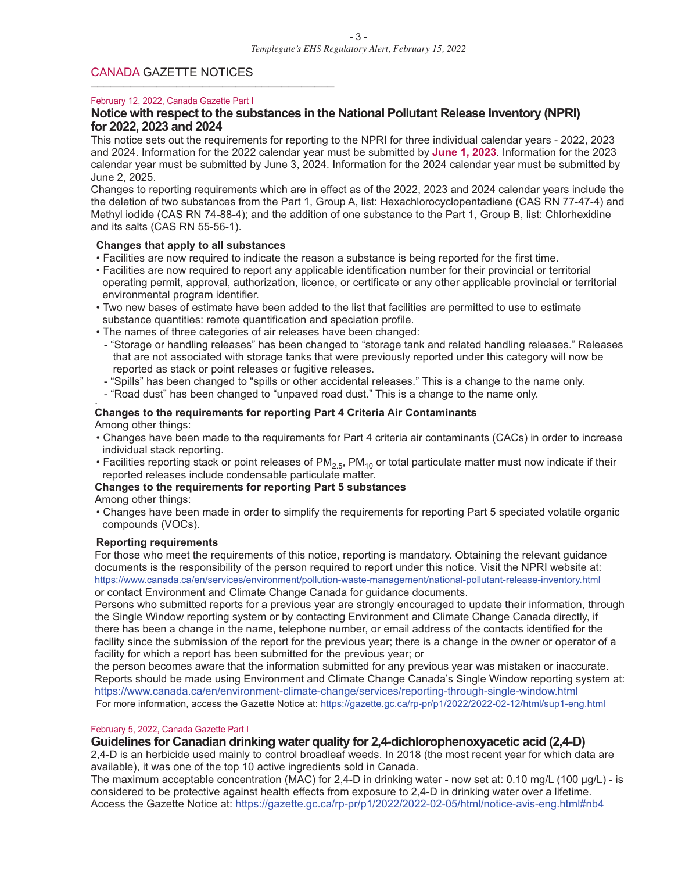#### CANADA GAZETTE NOTICES

#### February 12, 2022, Canada Gazette Part I

#### **Notice with respect to the substances in the National Pollutant Release Inventory (NPRI) for 2022, 2023 and 2024**

This notice sets out the requirements for reporting to the NPRI for three individual calendar years - 2022, 2023 and 2024. Information for the 2022 calendar year must be submitted by **June 1, 2023**. Information for the 2023 calendar year must be submitted by June 3, 2024. Information for the 2024 calendar year must be submitted by June 2, 2025.

Changes to reporting requirements which are in effect as of the 2022, 2023 and 2024 calendar years include the the deletion of two substances from the Part 1, Group A, list: Hexachlorocyclopentadiene (CAS RN 77-47-4) and Methyl iodide (CAS RN 74-88-4); and the addition of one substance to the Part 1, Group B, list: Chlorhexidine and its salts (CAS RN 55-56-1).

#### **Changes that apply to all substances**

- Facilities are now required to indicate the reason a substance is being reported for the first time.
- Facilities are now required to report any applicable identification number for their provincial or territorial operating permit, approval, authorization, licence, or certificate or any other applicable provincial or territorial environmental program identifier.
- Two new bases of estimate have been added to the list that facilities are permitted to use to estimate substance quantities: remote quantification and speciation profile.
- The names of three categories of air releases have been changed:
- "Storage or handling releases" has been changed to "storage tank and related handling releases." Releases that are not associated with storage tanks that were previously reported under this category will now be reported as stack or point releases or fugitive releases.
- "Spills" has been changed to "spills or other accidental releases." This is a change to the name only.
- "Road dust" has been changed to "unpaved road dust." This is <sup>a</sup> change to the name only. .

#### **Changes to the requirements for reporting Part 4 Criteria Air Contaminants** Among other things:

- Changes have been made to the requirements for Part 4 criteria air contaminants (CACs) in order to increase individual stack reporting.
- Facilities reporting stack or point releases of  $PM_{2.5}$ ,  $PM_{10}$  or total particulate matter must now indicate if their reported releases include condensable particulate matter.

#### **Changes to the requirements for reporting Part 5 substances**

Among other things:

• Changes have been made in order to simplify the requirements for reporting Part 5 speciated volatile organic compounds (VOCs).

#### **Reporting requirements**

For those who meet the requirements of this notice, reporting is mandatory. Obtaining the relevant guidance documents is the responsibility of the person required to report under this notice. Visit the NPRI website at: https://www.canada.ca/en/services/environment/pollution-waste-management/national-pollutant-release-inventory.html or contact Environment and Climate Change Canada for guidance documents.

Persons who submitted reports for a previous year are strongly encouraged to update their information, through the Single Window reporting system or by contacting Environment and Climate Change Canada directly, if there has been a change in the name, telephone number, or email address of the contacts identified for the facility since the submission of the report for the previous year; there is a change in the owner or operator of a facility for which a report has been submitted for the previous year; or

the person becomes aware that the information submitted for any previous year was mistaken or inaccurate. Reports should be made using Environment and Climate Change Canada's Single Window reporting system at: https://www.canada.ca/en/environment-climate-change/services/reporting-through-single-window.html For more information, access the Gazette Notice at: https://gazette.gc.ca/rp-pr/p1/2022/2022-02-12/html/sup1-eng.html

#### February 5, 2022, Canada Gazette Part I

#### **Guidelines for Canadian drinking water quality for 2,4-dichlorophenoxyacetic acid (2,4-D)**

2,4-D is an herbicide used mainly to control broadleaf weeds. In 2018 (the most recent year for which data are available), it was one of the top 10 active ingredients sold in Canada.

The maximum acceptable concentration (MAC) for 2,4-D in drinking water - now set at: 0.10 mg/L (100 ug/L) - is considered to be protective against health effects from exposure to 2,4-D in drinking water over a lifetime. Access the Gazette Notice at: https://gazette.gc.ca/rp-pr/p1/2022/2022-02-05/html/notice-avis-eng.html#nb4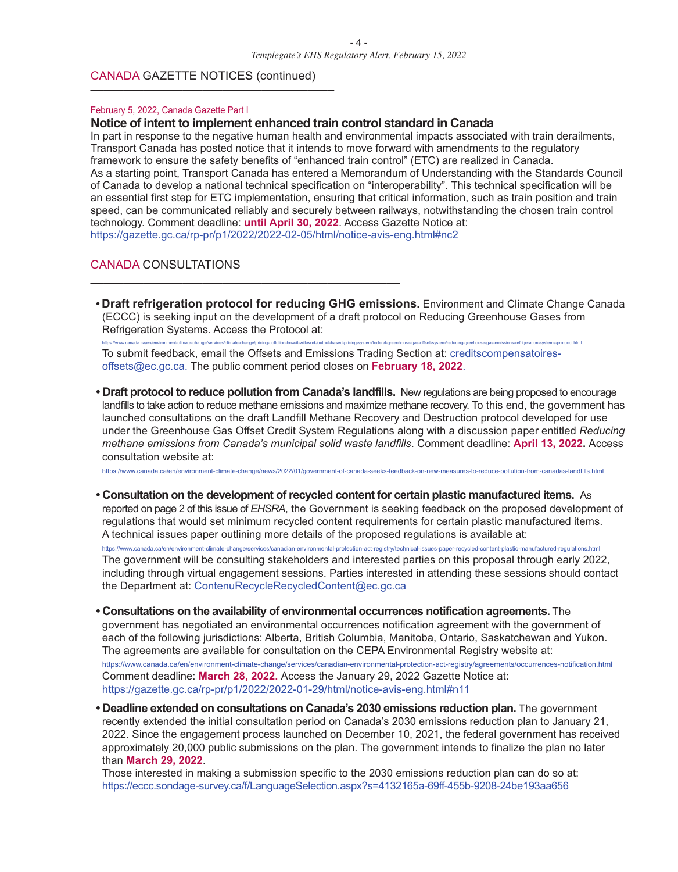#### CANADA GAZETTE NOTICES (continued)

#### February 5, 2022, Canada Gazette Part I

#### **Notice of intent to implement enhanced train control standard in Canada**

\_\_\_\_\_\_\_\_\_\_\_\_\_\_\_\_\_\_\_\_\_\_\_\_\_\_\_\_\_\_\_\_\_\_\_\_\_\_\_\_\_\_\_\_\_\_\_

In part in response to the negative human health and environmental impacts associated with train derailments, Transport Canada has posted notice that it intends to move forward with amendments to the regulatory framework to ensure the safety benefits of "enhanced train control" (ETC) are realized in Canada. As a starting point, Transport Canada has entered a Memorandum of Understanding with the Standards Council of Canada to develop a national technical specification on "interoperability". This technical specification will be an essential first step for ETC implementation, ensuring that critical information, such as train position and train speed, can be communicated reliably and securely between railways, notwithstanding the chosen train control technology. Comment deadline: **until April 30, 2022**. Access Gazette Notice at: https://gazette.gc.ca/rp-pr/p1/2022/2022-02-05/html/notice-avis-eng.html#nc2

#### CANADA CONSULTATIONS

**• Draft refrigeration protocol for reducing GHG emissions.** Environment and Climate Change Canada (ECCC) is seeking input on the development of a draft protocol on Reducing Greenhouse Gases from Refrigeration Systems. Access the Protocol at:

https://www.canada.ca/en/environment-climate-change/services/climate-change/pricing-pollution-how-it-will-work/output-based-pricing-system/federal-greenhouse-gas-offset-system/reducing-greehouse-gas-emissions-refrigeration To submit feedback, email the Offsets and Emissions Trading Section at: creditscompensatoiresoffsets@ec.gc.ca. The public comment period closes on **February 18, 2022**.

**• Draft protocol to reduce pollution from Canada's landfills.** New regulations are being proposed to encourage landfills to take action to reduce methane emissions and maximize methane recovery. To this end, the government has launched consultations on the draft Landfill Methane Recovery and Destruction protocol developed for use under the Greenhouse Gas Offset Credit System Regulations along with a discussion paper entitled *Reducing methane emissions from Canada's municipal solid waste landfills*. Comment deadline: **April 13, 2022.** Access consultation website at:

https://www.canada.ca/en/environment-climate-change/news/2022/01/government-of-canada-seeks-feedback-on-new-measures-to-reduce-pollution-from-canadas-landfills.html

**• Consultation on the development ofrecycled content for certain plastic manufactured items.** As reported on page 2 of this issue of *EHSRA*, the Government is seeking feedback on the proposed development of regulations that would set minimum recycled content requirements for certain plastic manufactured items. A technical issues paper outlining more details of the proposed regulations is available at:

https://www.canada.ca/en/environment-climate-change/services/canadian-environmental-protection-act-registry/technical-issues-paper-recycled-content-plastic-manufactured-regulations.html The government will be consulting stakeholders and interested parties on this proposal through early 2022, including through virtual engagement sessions. Parties interested in attending these sessions should contact the Department at: ContenuRecycleRecycledContent@ec.gc.ca

- **• Consultations on the availability of environmental occurrences notification agreements.** The government has negotiated an environmental occurrences notification agreement with the government of each of the following jurisdictions: Alberta, British Columbia, Manitoba, Ontario, Saskatchewan and Yukon. The agreements are available for consultation on the CEPA Environmental Registry website at: https://www.canada.ca/en/environment-climate-change/services/canadian-environmental-protection-act-registry/agreements/occurrences-notification.html Comment deadline: **March 28, 2022.** Access the January 29, 2022 Gazette Notice at: https://gazette.gc.ca/rp-pr/p1/2022/2022-01-29/html/notice-avis-eng.html#n11
- **• Deadline extended on consultations on Canada's 2030 emissions reduction plan.** The government recently extended the initial consultation period on Canada's 2030 emissions reduction plan to January 21, 2022. Since the engagement process launched on December 10, 2021, the federal government has received approximately 20,000 public submissions on the plan. The government intends to finalize the plan no later than **March 29, 2022**.

Those interested in making a submission specific to the 2030 emissions reduction plan can do so at: https://eccc.sondage-survey.ca/f/LanguageSelection.aspx?s=4132165a-69ff-455b-9208-24be193aa656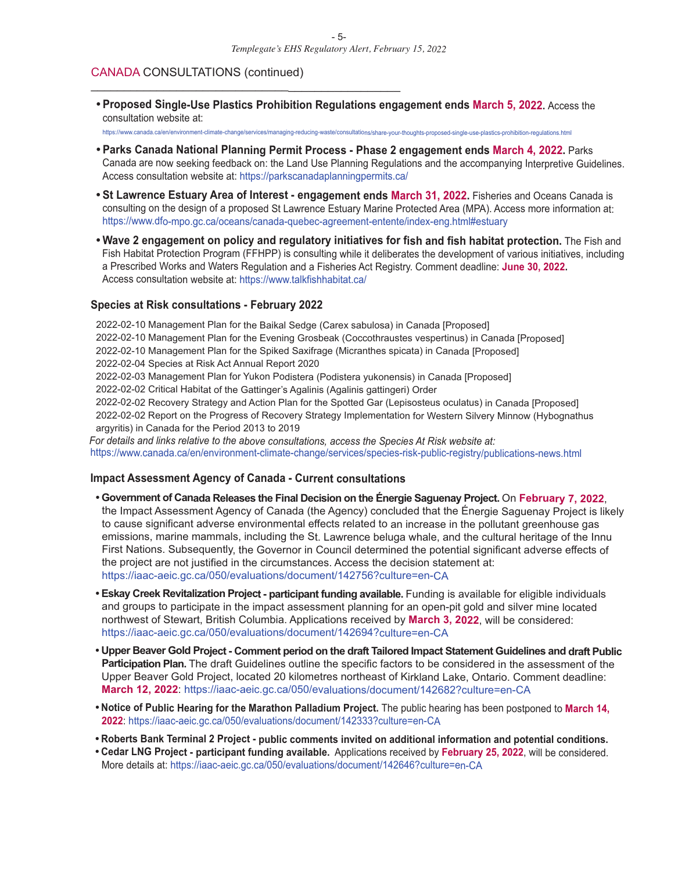#### CANADA CONSULTATIONS (continued)

 $\overline{\phantom{a}}$  , and the contract of the contract of the contract of the contract of the contract of the contract of the contract of the contract of the contract of the contract of the contract of the contract of the contrac

**• Proposed Single-Use Plastics Prohibition Regulations engagement ends March 5, 2022.** Access the consultation website at:

https://www.canada.ca/en/environment-climate-change/services/managing-reducing-waste/consultations/share-your-thoughts-proposed-single-use-plastics-prohibition-regulations.html

- **• Parks Canada National Planning Permit Process - Phase 2 engagement ends March 4, 2022.** Parks Canada are now seeking feedback on: the Land Use Planning Regulations and the accompanying Interpretive Guidelines. Access consultation website at: https://parkscanadaplanningpermits.ca/
- **• St Lawrence Estuary Area of Interest - engagement ends March 31, 2022.** Fisheries and Oceans Canada is consulting on the design of <sup>a</sup> proposed St Lawrence Estuary Marine Protected Area (MPA). Access more information at: https://www.dfo-mpo.gc.ca/oceans/canada-quebec-agreement-entente/index-eng.html#estuary
- **• Wave 2 engagement on policy and regulatory initiatives for fish and fish habitat protection.** The Fish and Fish Habitat Protection Program (FFHPP) is consulting while it deliberates the development of various initiatives, including <sup>a</sup> Prescribed Works and Waters Regulation and <sup>a</sup> Fisheries Act Registry. Comment deadline: **June 30, 2022.** Access consultation website at: https://www.talkfishhabitat.ca/

#### **Species at Risk consultations - February 2022**

2022-02-10 Management Plan for the Baikal Sedge (Carex sabulosa) in Canada [Proposed] 2022-02-10 Management Plan for the Evening Grosbeak (Coccothraustes vespertinus) in Canada [Proposed] 2022-02-10 Management Plan for the Spiked Saxifrage (Micranthes spicata) in Canada [Proposed] 2022-02-04 Species at Risk Act Annual Report 2020 2022-02-03 Management Plan for Yukon Podistera (Podistera yukonensis) in Canada [Proposed] 2022-02-02 Critical Habitat of the Gattinger's Agalinis (Agalinis gattingeri) Order 2022-02-02 Recovery Strategy and Action Plan for the Spotted Gar (Lepisosteus oculatus) in Canada [Proposed] 2022-02-02 Report on the Progress of Recovery Strategy Implementation for Western Silvery Minnow (Hybognathus argyritis) in Canada for the Period 2013 to 2019 *For details and links relative to the above consultations, access the Species At Risk website at:*

https://www.canada.ca/en/environment-climate-change/services/species-risk-public-registry/publications-news.html

#### **Impact Assessment Agency of Canada - Current consultations**

- **• Government of Canada Releases the Final Decision on the Énergie Saguenay Project.** On **February 7, <sup>2022</sup>**, the Impact Assessment Agency of Canada (the Agency) concluded that the Énergie Saguenay Project is likely to cause significant adverse environmental effects related to an increase in the pollutant greenhouse gas emissions, marine mammals, including the St. Lawrence beluga whale, and the cultural heritage of the Innu First Nations. Subsequently, the Governor in Council determined the potential significant adverse effects of the project are not justified in the circumstances. Access the decision statement at: https://iaac-aeic.gc.ca/050/evaluations/document/142756?culture=en-CA
- **• Eskay Creek Revitalization Project - participant funding available.** Funding is available for eligible individuals and groups to participate in the impact assessment planning for an open-pit gold and silver mine located northwest of Stewart, British Columbia. Applications received by **March 3, 2022**, will be considered: https://iaac-aeic.gc.ca/050/evaluations/document/142694?culture=en-CA
- Upper Beaver Gold Project Comment period on the draft Tailored Impact Statement Guidelines and draft Public **Participation Plan.** The draft Guidelines outline the specific factors to be considered in the assessment of the Upper Beaver Gold Project, located 20 kilometres northeast of Kirkland Lake, Ontario. Comment deadline: **March 12, 2022**: https://iaac-aeic.gc.ca/050/evaluations/document/142682?culture=en-CA
- **• Notice of Public Hearing for the Marathon Palladium Project.** The public hearing has been postponed to **March 14, 2022**: https://iaac-aeic.gc.ca/050/evaluations/document/142333?culture=en-CA
- **• Roberts Bank Terminal 2 Project - public comments invited on additional information and potential conditions.**
- **• Cedar LNG Project - participant funding available.** Applications received by **February 25, 2022**, will be considered. More details at: https://iaac-aeic.gc.ca/050/evaluations/document/142646?culture=en-CA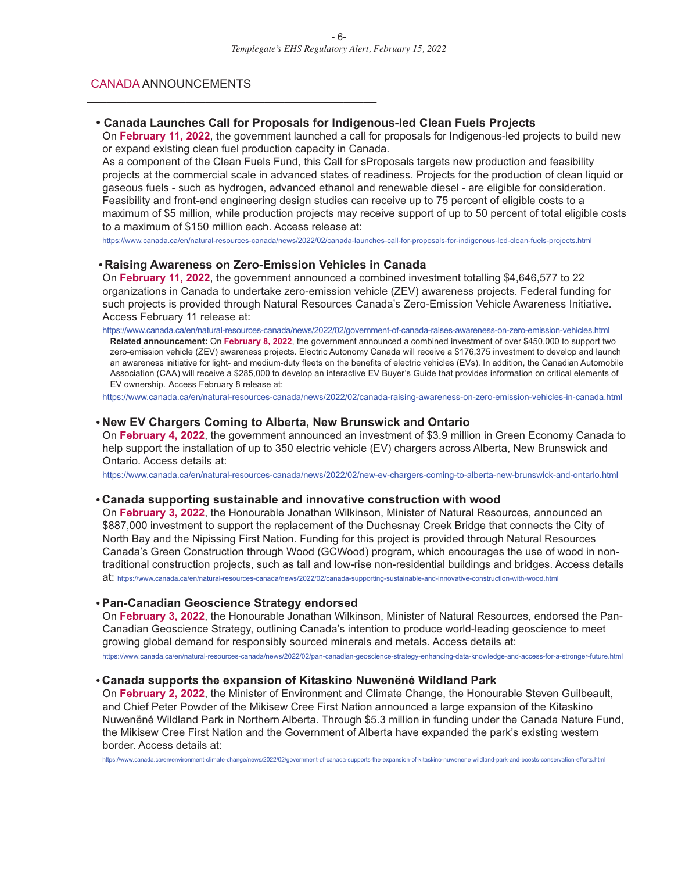#### CANADA ANNOUNCEMENTS

\_\_\_\_\_\_\_\_\_\_\_\_\_\_\_\_\_\_\_\_\_\_\_\_\_\_\_\_\_\_\_\_\_\_\_\_\_\_\_\_\_\_\_\_

#### **• Canada Launches Call for Proposals for Indigenous-led Clean Fuels Projects**

On **February 11, 2022**, the government launched a call for proposals for Indigenous-led projects to build new or expand existing clean fuel production capacity in Canada.

As a component of the Clean Fuels Fund, this Call for sProposals targets new production and feasibility projects at the commercial scale in advanced states of readiness. Projects for the production of clean liquid or gaseous fuels - such as hydrogen, advanced ethanol and renewable diesel - are eligible for consideration. Feasibility and front-end engineering design studies can receive up to 75 percent of eligible costs to a maximum of \$5 million, while production projects may receive support of up to 50 percent of total eligible costs to a maximum of \$150 million each. Access release at:

https://www.canada.ca/en/natural-resources-canada/news/2022/02/canada-launches-call-for-proposals-for-indigenous-led-clean-fuels-projects.html

#### **• Raising Awareness on Zero-Emission Vehicles in Canada**

On **February 11, 2022**, the government announced a combined investment totalling \$4,646,577 to 22 organizations in Canada to undertake zero-emission vehicle (ZEV) awareness projects. Federal funding for such projects is provided through Natural Resources Canada's Zero-Emission Vehicle Awareness Initiative. Access February 11 release at:

https://www.canada.ca/en/natural-resources-canada/news/2022/02/government-of-canada-raises-awareness-on-zero-emission-vehicles.html **Related announcement:** On **February 8, 2022**, the government announced a combined investment of over \$450,000 to support two zero-emission vehicle (ZEV) awareness projects. Electric Autonomy Canada will receive a \$176,375 investment to develop and launch an awareness initiative for light- and medium-duty fleets on the benefits of electric vehicles (EVs). In addition, the Canadian Automobile Association (CAA) will receive a \$285,000 to develop an interactive EV Buyer's Guide that provides information on critical elements of EV ownership. Access February 8 release at:

https://www.canada.ca/en/natural-resources-canada/news/2022/02/canada-raising-awareness-on-zero-emission-vehicles-in-canada.html

#### **• New EV Chargers Coming to Alberta, New Brunswick and Ontario**

On **February 4, 2022**, the government announced an investment of \$3.9 million in Green Economy Canada to help support the installation of up to 350 electric vehicle (EV) chargers across Alberta, New Brunswick and Ontario. Access details at:

https://www.canada.ca/en/natural-resources-canada/news/2022/02/new-ev-chargers-coming-to-alberta-new-brunswick-and-ontario.html

#### **• Canada supporting sustainable and innovative construction with wood**

On **February 3, 2022**, the Honourable Jonathan Wilkinson, Minister of Natural Resources, announced an \$887,000 investment to support the replacement of the Duchesnay Creek Bridge that connects the City of North Bay and the Nipissing First Nation. Funding for this project is provided through Natural Resources Canada's Green Construction through Wood (GCWood) program, which encourages the use of wood in nontraditional construction projects, such as tall and low-rise non-residential buildings and bridges. Access details at: https://www.canada.ca/en/natural-resources-canada/news/2022/02/canada-supporting-sustainable-and-innovative-construction-with-wood.html

#### **• Pan-Canadian Geoscience Strategy endorsed**

On **February 3, 2022**, the Honourable Jonathan Wilkinson, Minister of Natural Resources, endorsed the Pan-Canadian Geoscience Strategy, outlining Canada's intention to produce world-leading geoscience to meet growing global demand for responsibly sourced minerals and metals. Access details at:

https://www.canada.ca/en/natural-resources-canada/news/2022/02/pan-canadian-geoscience-strategy-enhancing-data-knowledge-and-access-for-a-stronger-future.html

#### **• Canada supports the expansion of Kitaskino Nuwenëné Wildland Park**

On **February 2, 2022**, the Minister of Environment and Climate Change, the Honourable Steven Guilbeault, and Chief Peter Powder of the Mikisew Cree First Nation announced a large expansion of the Kitaskino Nuwenëné Wildland Park in Northern Alberta. Through \$5.3 million in funding under the Canada Nature Fund, the Mikisew Cree First Nation and the Government of Alberta have expanded the park's existing western border. Access details at:

https://www.canada.ca/en/environment-climate-change/news/2022/02/government-of-canada-supports-the-expansion-of-kitaskino-nuwenene-wildland-park-and-boosts-conservation-efforts.html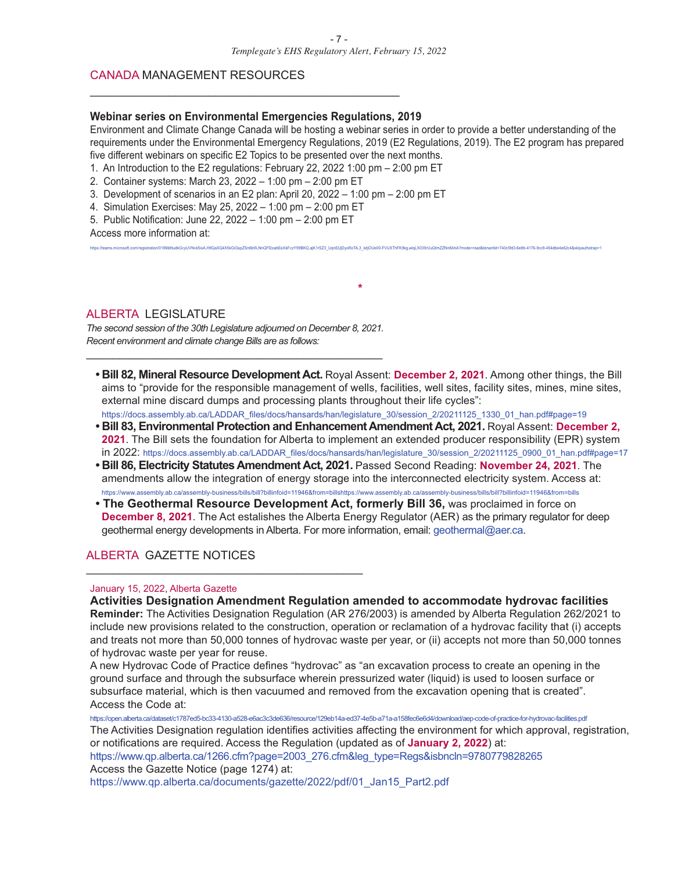#### CANADA MANAGEMENT RESOURCES

#### **Webinar series on Environmental Emergencies Regulations, 2019**

\_\_\_\_\_\_\_\_\_\_\_\_\_\_\_\_\_\_\_\_\_\_\_\_\_\_\_\_\_\_\_\_\_\_\_\_\_\_\_\_\_\_\_\_\_\_\_

Environment and Climate Change Canada will be hosting a webinar series in order to provide a better understanding of the requirements under the Environmental Emergency Regulations, 2019 (E2 Regulations, 2019). The E2 program has prepared five different webinars on specific E2 Topics to be presented over the next months.

6<br>6bfA.NnQFf2oabEeXkFczY99BKQ.aiK1rSZ3\_UgnSUiDvoRoTA.3\_kdiOUe00-FVUXThFK9kg.wlgLX035rUuQtmZZNn8AhA?mode=read&tenantId=740c5fd3-6e8b-4176-9cc9-454dbe4e62c4&sl

- 1. An Introduction to the E2 regulations: February 22, 2022 1:00 pm 2:00 pm ET
- 2. Container systems: March 23, 2022 1:00 pm 2:00 pm ET
- 3. Development of scenarios in an E2 plan: April 20, 2022 1:00 pm 2:00 pm ET
- 4. Simulation Exercises: May 25, 2022 1:00 pm 2:00 pm ET
- 5. Public Notification: June 22, 2022 1:00 pm 2:00 pm ET

Access more information at:

#### ALBERTA LEGISLATURE

*The second session of the 30th Legislature adjourned on December 8, 2021. Recent environment and climate change Bills are as follows:* \_\_\_\_\_\_\_\_\_\_\_\_\_\_\_\_\_\_\_\_\_\_\_\_\_\_\_\_\_\_\_\_\_\_\_\_\_\_\_\_\_\_\_\_\_

**• Bill 82, Mineral Resource Development Act.** Royal Assent: **December 2, 2021**. Among other things, the Bill aims to "provide for the responsible management of wells, facilities, well sites, facility sites, mines, mine sites, external mine discard dumps and processing plants throughout their life cycles":

**\***

- https://docs.assembly.ab.ca/LADDAR\_files/docs/hansards/han/legislature\_30/session\_2/20211125\_1330\_01\_han.pdf#page=19 **• Bill 83, Environmental Protection and Enhancement Amendment Act, 2021.** Royal Assent: **December 2, 2021**. The Bill sets the foundation for Alberta to implement an extended producer responsibility (EPR) system in 2022: https://docs.assembly.ab.ca/LADDAR\_files/docs/hansards/han/legislature\_30/session\_2/20211125\_0900\_01\_han.pdf#page=17
- **• Bill 86, Electricity Statutes Amendment Act, 2021.** Passed Second Reading: **November 24, 2021**. The amendments allow the integration of energy storage into the interconnected electricity system. Access at: https://www.assembly.ab.ca/assembly-business/bills/bill?billinfoid=11946&from=billshttps://www.assembly.ab.ca/assembly-business/bills/bill?billinfoid=11946&from=bills
- **• The Geothermal Resource Development Act, formerly Bill 36,** was proclaimed in force on **December 8, 2021**. The Act estalishes the Alberta Energy Regulator (AER) as the primary regulator for deep geothermal energy developments in Alberta. For more information, email: geothermal@aer.ca.

#### ALBERTA GAZETTE NOTICES

\_\_\_\_\_\_\_\_\_\_\_\_\_\_\_\_\_\_\_\_\_\_\_\_\_\_\_\_\_\_\_\_\_\_\_\_\_\_\_\_\_\_

#### January 15, 2022, Alberta Gazette

**Activities Designation Amendment Regulation amended to accommodate hydrovac facilities Reminder:** The Activities Designation Regulation (AR 276/2003) is amended by Alberta Regulation 262/2021 to include new provisions related to the construction, operation or reclamation of a hydrovac facility that (i) accepts and treats not more than 50,000 tonnes of hydrovac waste per year, or (ii) accepts not more than 50,000 tonnes of hydrovac waste per year for reuse.

A new Hydrovac Code of Practice defines "hydrovac" as "an excavation process to create an opening in the ground surface and through the subsurface wherein pressurized water (liquid) is used to loosen surface or subsurface material, which is then vacuumed and removed from the excavation opening that is created". Access the Code at:

https://open.alberta.ca/dataset/c1787ed5-bc33-4130-a528-e6ac3c3de636/resource/129eb14a-ed37-4e5b-a71a-a158fec6e6d4/download/aep-code-of-practice-for-hydrovac-facilities.pdf

The Activities Designation regulation identifies activities affecting the environment for which approval, registration, or notifications are required. Access the Regulation (updated as of **January 2, 2022**) at:

https://www.qp.alberta.ca/1266.cfm?page=2003\_276.cfm&leg\_type=Regs&isbncln=9780779828265 Access the Gazette Notice (page 1274) at:

https://www.qp.alberta.ca/documents/gazette/2022/pdf/01\_Jan15\_Part2.pdf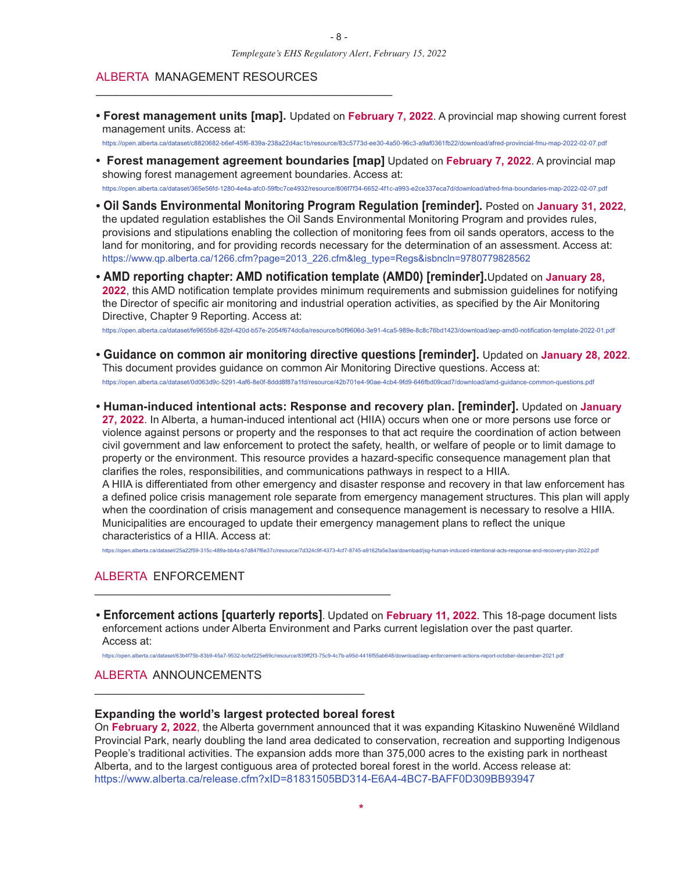#### ALBERTA MANAGEMENT RESOURCES

\_\_\_\_\_\_\_\_\_\_\_\_\_\_\_\_\_\_\_\_\_\_\_\_\_\_\_\_\_\_\_\_\_\_\_\_\_\_\_\_\_\_\_\_\_

**• Forest management units [map].** Updated on **February 7, 2022**. A provincial map showing current forest management units. Access at:

https://open.alberta.ca/dataset/c8820682-b6ef-45f6-839a-238a22d4ac1b/resource/83c5773d-ee30-4a50-96c3-a9af0361fb22/download/afred-provincial-fmu-map-2022-02-07.pdf

- **• Forest management agreement boundaries [map]** Updated on **February 7, 2022**. A provincial map showing forest management agreement boundaries. Access at: https://open.alberta.ca/dataset/365e56fd-1280-4e4a-afc0-59fbc7ce4932/resource/806f7f34-6652-4f1c-a993-e2ce337eca7d/download/afred-fma-boundaries-map-2022-02-07.pdf
- **• Oil Sands Environmental Monitoring Program Regulation [reminder].** Posted on **January 31, 2022**, the updated regulation establishes the Oil Sands Environmental Monitoring Program and provides rules, provisions and stipulations enabling the collection of monitoring fees from oil sands operators, access to the land for monitoring, and for providing records necessary for the determination of an assessment. Access at:
- **• AMD reporting chapter: AMD notification template (AMD0) [reminder].**Updated on **January 28, 2022**, this AMD notification template provides minimum requirements and submission guidelines for notifying the Director of specific air monitoring and industrial operation activities, as specified by the Air Monitoring Directive, Chapter 9 Reporting. Access at:

https://www.qp.alberta.ca/1266.cfm?page=2013\_226.cfm&leg\_type=Regs&isbncln=9780779828562

https://open.alberta.ca/dataset/fe9655b6-82bf-420d-b57e-2054f674dc6a/resource/b0f9606d-3e91-4ca5-989e-8c8c76bd1423/download/aep-amd0-notification-template-2022-01.pdf

- **• Guidance on common air monitoring directive questions [reminder].** Updated on **January 28, 2022**. This document provides guidance on common Air Monitoring Directive questions. Access at: https://open.alberta.ca/dataset/0d063d9c-5291-4af6-8e0f-8ddd8f87a1fd/resource/42b701e4-90ae-4cb4-9fd9-646fbd09cad7/download/amd-guidance-common-questions.pdf
- **• Human-induced intentional acts: Response and recovery plan. [reminder].** Updated on **January 27, 2022**. In Alberta, a human-induced intentional act (HIIA) occurs when one or more persons use force or violence against persons or property and the responses to that act require the coordination of action between civil government and law enforcement to protect the safety, health, or welfare of people or to limit damage to property or the environment. This resource provides a hazard-specific consequence management plan that clarifies the roles, responsibilities, and communications pathways in respect to a HIIA. A HIIA is differentiated from other emergency and disaster response and recovery in that law enforcement has a defined police crisis management role separate from emergency management structures. This plan will apply when the coordination of crisis management and consequence management is necessary to resolve a HIIA. Municipalities are encouraged to update their emergency management plans to reflect the unique characteristics of a HIIA. Access at:

### https://open.alberta.ca/dataset/25a22f59-315c-489a-bb4a-b7d847f6e37c/resource/7d324c9f-4373-4cf7-8745-a9162fa5e3aa/download/jsg-human-induced-intentional-acts-response-and-recovery-plan-2022.pdf

#### ALBERTA ENFORCEMENT \_\_\_\_\_\_\_\_\_\_\_\_\_\_\_\_\_\_\_\_\_\_\_\_\_\_\_\_\_\_\_\_\_\_\_\_\_\_\_\_\_\_\_\_\_

**• Enforcement actions [quarterly reports]**. Updated on **February 11, 2022**. This 18-page document lists enforcement actions under Alberta Environment and Parks current legislation over the past quarter. Access at:

https://open.alberta.ca/dataset/63b4f75b-83b9-45a7-9532-bcfef225e69c/resource/839ff2f3-75c9-4c7b-a95d-4416f55ab648/download/aep-enforcement-actions-report-october-december-2021.pdf

#### ALBERTA ANNOUNCEMENTS

#### **Expanding the world's largest protected boreal forest**

\_\_\_\_\_\_\_\_\_\_\_\_\_\_\_\_\_\_\_\_\_\_\_\_\_\_\_\_\_\_\_\_\_\_\_\_\_\_\_\_\_

On **February 2, 2022**, the Alberta government announced that it was expanding Kitaskino Nuwenëné Wildland Provincial Park, nearly doubling the land area dedicated to conservation, recreation and supporting Indigenous People's traditional activities. The expansion adds more than 375,000 acres to the existing park in northeast Alberta, and to the largest contiguous area of protected boreal forest in the world. Access release at: https://www.alberta.ca/release.cfm?xID=81831505BD314-E6A4-4BC7-BAFF0D309BB93947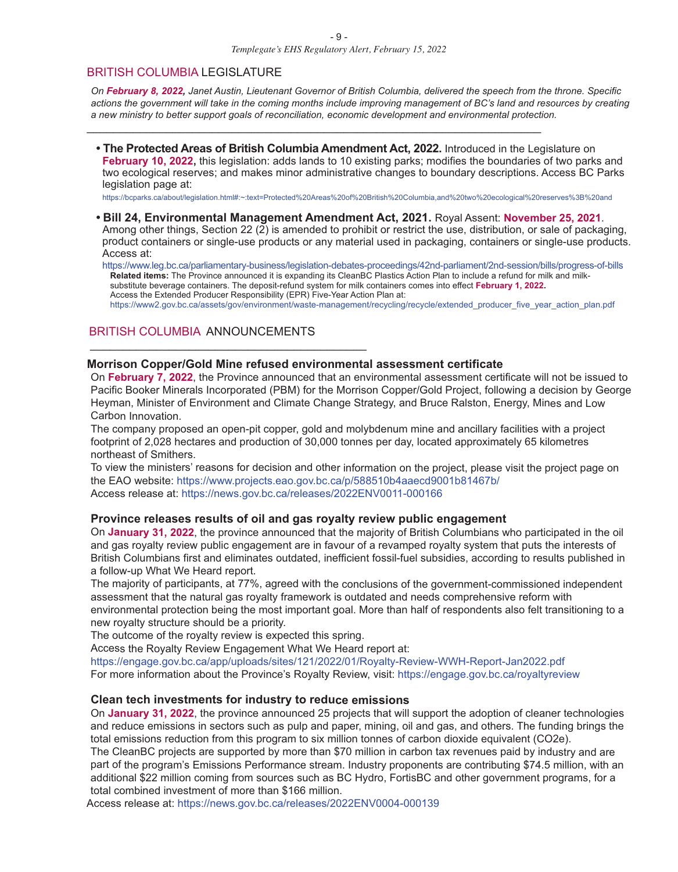\_\_\_\_\_\_\_\_\_\_\_\_\_\_\_\_\_\_\_\_\_\_\_\_\_\_\_\_\_\_\_\_\_\_\_\_\_\_\_\_\_\_\_\_\_\_\_\_\_\_\_\_\_\_\_\_\_\_\_\_\_\_\_\_\_\_\_\_\_

#### BRITISH COLUMBIA LEGISLATURE

On February 8, 2022, Janet Austin, Lieutenant Governor of British Columbia, delivered the speech from the throne. Specific actions the government will take in the coming months include improving management of BC's land and resources by creating *<sup>a</sup> new ministry to better support goals of reconciliation, economic development and environmental protection.*

**• The Protected Areas of British Columbia Amendment Act, 2022.** Introduced in the Legislature on **February 10, 2022,** this legislation: adds lands to 10 existing parks; modifies the boundaries of two parks and two ecological reserves; and makes minor administrative changes to boundary descriptions. Access BC Parks legislation page at:

https://bcparks.ca/about/legislation.html#:~:text=Protected%20Areas%20of%20British%20Columbia,and%20two%20ecological%20reserves%3B%20and

**• Bill 24, Environmental Management Amendment Act, 2021.** Royal Assent: **November 25, 2021**. Among other things, Section 22 (2) is amended to prohibit or restrict the use, distribution, or sale of packaging, product containers or single-use products or any material used in packaging, containers or single-use products. Access at:

https://www.leg.bc.ca/parliamentary-business/legislation-debates-proceedings/42nd-parliament/2nd-session/bills/progress-of-bills **Related items:** The Province announced it is expanding its CleanBC Plastics Action Plan to include <sup>a</sup> refund for milk and milksubstitute beverage containers. The deposit-refund system for milk containers comes into effect **February 1, 2022.** Access the Extended Producer Responsibility (EPR) Five-Year Action Plan at: https://www2.gov.bc.ca/assets/gov/environment/waste-management/recycling/recycle/extended\_producer\_five\_year\_action\_plan.pdf

#### BRITISH COLUMBIA ANNOUNCEMENTS

 $\_$  . The contribution of the contribution of  $\mathcal{L}_1$  ,  $\mathcal{L}_2$  ,  $\mathcal{L}_3$  ,  $\mathcal{L}_4$  ,  $\mathcal{L}_5$  ,  $\mathcal{L}_6$  ,  $\mathcal{L}_7$  ,  $\mathcal{L}_8$  ,  $\mathcal{L}_9$  ,  $\mathcal{L}_1$  ,  $\mathcal{L}_2$  ,  $\mathcal{L}_3$  ,  $\mathcal{L}_5$  ,  $\mathcal{L}_7$  ,  $\mathcal{L}_$ 

#### **Morrison Copper/Gold Mine refused environmental assessment certificate**

On **February 7, 2022**, the Province announced that an environmental assessment certificate will not be issued to Pacific Booker Minerals Incorporated (PBM) for the Morrison Copper/Gold Project, following <sup>a</sup> decision by George Heyman, Minister of Environment and Climate Change Strategy, and Bruce Ralston, Energy, Mines and Low Carbon Innovation.

The company proposed an open-pit copper, gold and molybdenum mine and ancillary facilities with <sup>a</sup> project footprint of 2,028 hectares and production of 30,000 tonnes per day, located approximately 65 kilometres northeast of Smithers.

To view the ministers' reasons for decision and other information on the project, please visit the project page on the EAO website: https://www.projects.eao.gov.bc.ca/p/588510b4aaecd9001b81467b/ Access release at: https://news.gov.bc.ca/releases/2022ENV0011-000166

#### **Province releases results of oil and gas royalty review public engagement**

On **January 31, 2022**, the province announced that the majority of British Columbians who participated in the oil and gas royalty review public engagement are in favour of <sup>a</sup> revamped royalty system that puts the interests of British Columbians first and eliminates outdated, inefficient fossil-fuel subsidies, according to results published in <sup>a</sup> follow-up What We Heard report.

The majority of participants, at 77%, agreed with the conclusions of the government-commissioned independent assessment that the natural gas royalty framework is outdated and needs comprehensive reform with environmental protection being the most important goal. More than half of respondents also felt transitioning to <sup>a</sup> new royalty structure should be <sup>a</sup> priority.

The outcome of the royalty review is expected this spring.

Access the Royalty Review Engagement What We Heard report at:

https://engage.gov.bc.ca/app/uploads/sites/121/2022/01/Royalty-Review-WWH-Report-Jan2022.pdf For more information about the Province's Royalty Review, visit: https://engage.gov.bc.ca/royaltyreview

#### **Clean tech investments for industry to reduce emissions**

On **January 31, 2022**, the province announced 25 projects that will support the adoption of cleaner technologies and reduce emissions in sectors such as pulp and paper, mining, oil and gas, and others. The funding brings the total emissions reduction from this program to six million tonnes of carbon dioxide equivalent (CO2e).

The CleanBC projects are supported by more than \$70 million in carbon tax revenues paid by industry and are part of the program's Emissions Performance stream. Industry proponents are contributing \$74.5 million, with an additional \$22 million coming from sources such as BC Hydro, FortisBC and other government programs, for <sup>a</sup> total combined investment of more than \$166 million.

Access release at: https://news.gov.bc.ca/releases/2022ENV0004-000139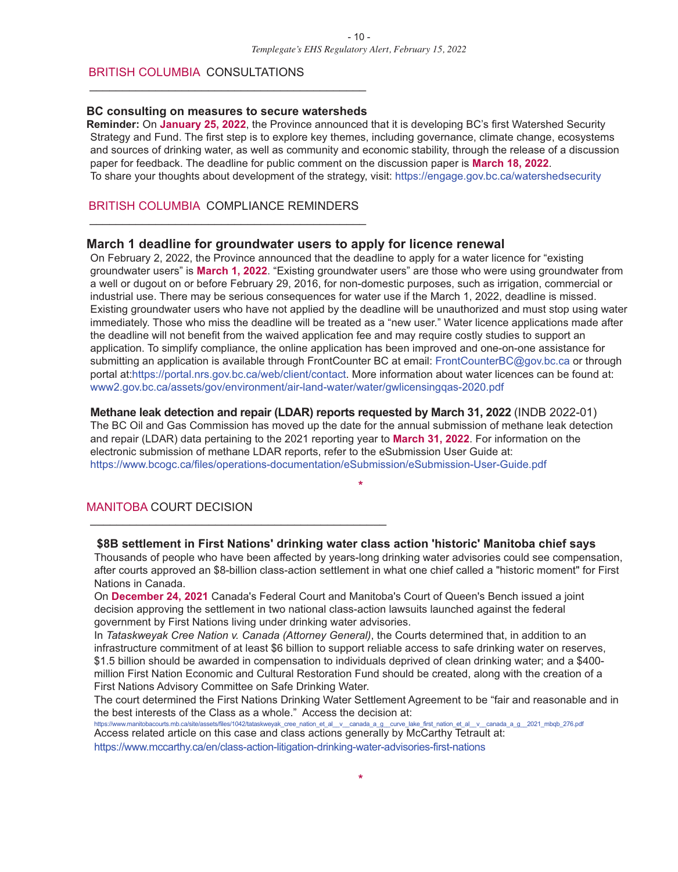#### BRITISH COLUMBIA CONSULTATIONS

#### **BC consulting on measures to secure watersheds**

\_\_\_\_\_\_\_\_\_\_\_\_\_\_\_\_\_\_\_\_\_\_\_\_\_\_\_\_\_\_\_\_\_\_\_\_\_\_\_\_\_\_

**Reminder:** On **January 25, 2022**, the Province announced that it is developing BC's first Watershed Security Strategy and Fund. The first step is to explore key themes, including governance, climate change, ecosystems and sources of drinking water, as well as community and economic stability, through the release of a discussion paper for feedback. The deadline for public comment on the discussion paper is **March 18, 2022**. To share your thoughts about development of the strategy, visit: https://engage.gov.bc.ca/watershedsecurity

#### BRITISH COLUMBIA COMPLIANCE REMINDERS \_\_\_\_\_\_\_\_\_\_\_\_\_\_\_\_\_\_\_\_\_\_\_\_\_\_\_\_\_\_\_\_\_\_\_\_\_\_\_\_\_\_

#### **March 1 deadline for groundwater users to apply for licence renewal**

On February 2, 2022, the Province announced that the deadline to apply for a water licence for "existing groundwater users" is **March 1, 2022**. "Existing groundwater users" are those who were using groundwater from a well or dugout on or before February 29, 2016, for non-domestic purposes, such as irrigation, commercial or industrial use. There may be serious consequences for water use if the March 1, 2022, deadline is missed. Existing groundwater users who have not applied by the deadline will be unauthorized and must stop using water immediately. Those who miss the deadline will be treated as a "new user." Water licence applications made after the deadline will not benefit from the waived application fee and may require costly studies to support an application. To simplify compliance, the online application has been improved and one-on-one assistance for submitting an application is available through FrontCounter BC at email: FrontCounterBC@gov.bc.ca or through portal at:https://portal.nrs.gov.bc.ca/web/client/contact. More information about water licences can be found at: www2.gov.bc.ca/assets/gov/environment/air-land-water/water/gwlicensingqas-2020.pdf

#### **Methane leak detection and repair (LDAR) reports requested by March 31, 2022** (INDB 2022-01)

The BC Oil and Gas Commission has moved up the date for the annual submission of methane leak detection and repair (LDAR) data pertaining to the 2021 reporting year to **March 31, 2022**. For information on the electronic submission of methane LDAR reports, refer to the eSubmission User Guide at: https://www.bcogc.ca/files/operations-documentation/eSubmission/eSubmission-User-Guide.pdf

#### MANITOBA COURT DECISION

#### **\$8B settlement in First Nations' drinking water class action 'historic' Manitoba chief says**

Thousands of people who have been affected by years-long drinking water advisories could see compensation, after courts approved an \$8-billion class-action settlement in what one chief called a "historic moment" for First Nations in Canada.

**\***

On **December 24, 2021** Canada's Federal Court and Manitoba's Court of Queen's Bench issued a joint decision approving the settlement in two national class-action lawsuits launched against the federal government by First Nations living under drinking water advisories.

In *Tataskweyak Cree Nation v. Canada (Attorney General)*, the Courts determined that, in addition to an infrastructure commitment of at least \$6 billion to support reliable access to safe drinking water on reserves, \$1.5 billion should be awarded in compensation to individuals deprived of clean drinking water; and a \$400 million First Nation Economic and Cultural Restoration Fund should be created, along with the creation of a First Nations Advisory Committee on Safe Drinking Water.

The court determined the First Nations Drinking Water Settlement Agreement to be "fair and reasonable and in the best interests of the Class as a whole." Access the decision at:

https://www.manitobacourts.mb.ca/site/assets/files/1042/tataskweyak\_cree\_nation\_et\_al\_v\_canada\_a\_g\_curve\_lake\_first\_nation\_et\_al\_\_v\_canada\_a\_g\_\_2021\_mbqb\_276.pdf Access related article on this case and class actions generally by McCarthy Tetrault at:

https://www.mccarthy.ca/en/class-action-litigation-drinking-water-advisories-first-nations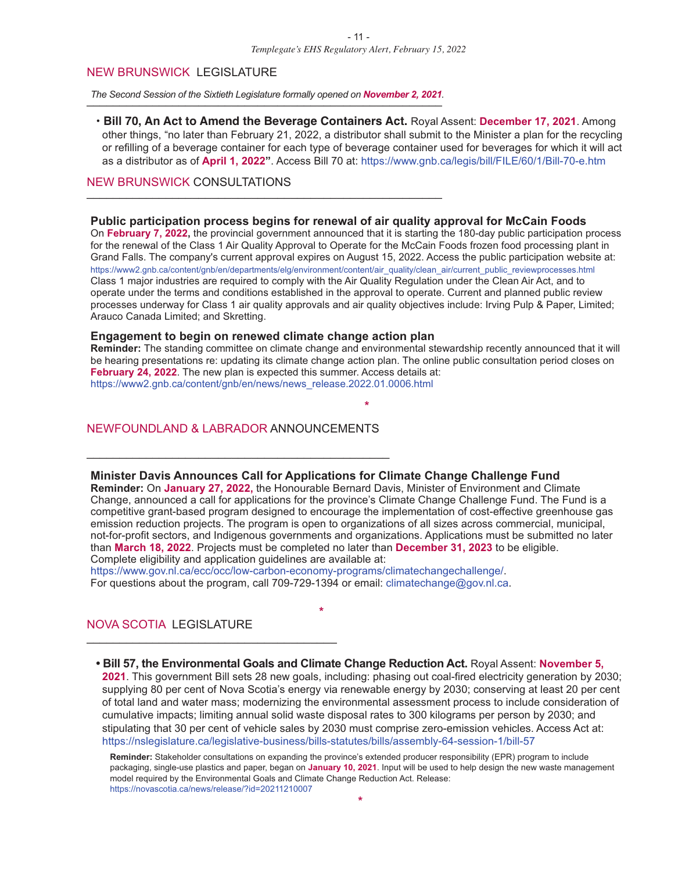#### NEW BRUNSWICK LEGISLATURE

The Second Session of the Sixtieth Legislature formally opened on November 2, 2021.

**• Bill 70, An Act to Amend the Beverage Containers Act.** Royal Assent: **December 17, 2021**. Among other things, "no later than February 21, 2022, a distributor shall submit to the Minister a plan for the recycling or refilling of a beverage container for each type of beverage container used for beverages for which it will act as a distributor as of **April 1, 2022"**. Access Bill 70 at: https://www.gnb.ca/legis/bill/FILE/60/1/Bill-70-e.htm

#### NEW BRUNSWICK CONSULTATIONS

#### **Public participation process begins for renewal of air quality approval for McCain Foods**

On **February 7, 2022,** the provincial government announced that it is starting the 180-day public participation process for the renewal of the Class 1 Air Quality Approval to Operate for the McCain Foods frozen food processing plant in Grand Falls. The company's current approval expires on August 15, 2022. Access the public participation website at: https://www2.gnb.ca/content/gnb/en/departments/elg/environment/content/air\_quality/clean\_air/current\_public\_reviewprocesses.html Class 1 major industries are required to comply with the Air Quality Regulation under the Clean Air Act, and to operate under the terms and conditions established in the approval to operate. Current and planned public review processes underway for Class 1 air quality approvals and air quality objectives include: Irving Pulp & Paper, Limited; Arauco Canada Limited; and Skretting.

#### **Engagement to begin on renewed climate change action plan**

**Reminder:** The standing committee on climate change and environmental stewardship recently announced that it will be hearing presentations re: updating its climate change action plan. The online public consultation period closes on **February 24, 2022**. The new plan is expected this summer. Access details at: https://www2.gnb.ca/content/gnb/en/news/news\_release.2022.01.0006.html

**\***

#### NEWFOUNDLAND & LABRADOR ANNOUNCEMENTS

\_\_\_\_\_\_\_\_\_\_\_\_\_\_\_\_\_\_\_\_\_\_\_\_\_\_\_\_\_\_\_\_\_\_\_\_\_\_\_\_\_\_\_\_\_\_

#### **Minister Davis Announces Call for Applications for Climate Change Challenge Fund**

**Reminder:** On **January 27, 2022,** the Honourable Bernard Davis, Minister of Environment and Climate Change, announced a call for applications for the province's Climate Change Challenge Fund. The Fund is a competitive grant-based program designed to encourage the implementation of cost-effective greenhouse gas emission reduction projects. The program is open to organizations of all sizes across commercial, municipal, not-for-profit sectors, and Indigenous governments and organizations. Applications must be submitted no later than **March 18, 2022**. Projects must be completed no later than **December 31, 2023** to be eligible. Complete eligibility and application guidelines are available at:

https://www.gov.nl.ca/ecc/occ/low-carbon-economy-programs/climatechangechallenge/. For questions about the program, call 709-729-1394 or email: climatechange@gov.nl.ca.

**\***

#### NOVA SCOTIA LEGISLATURE

 $\overline{\phantom{a}}$  , and the set of the set of the set of the set of the set of the set of the set of the set of the set of the set of the set of the set of the set of the set of the set of the set of the set of the set of the s

#### **• Bill 57, the Environmental Goals and Climate Change Reduction Act.** Royal Assent: **November 5,**

**2021**. This government Bill sets 28 new goals, including: phasing out coal-fired electricity generation by 2030; supplying 80 per cent of Nova Scotia's energy via renewable energy by 2030; conserving at least 20 per cent of total land and water mass; modernizing the environmental assessment process to include consideration of cumulative impacts; limiting annual solid waste disposal rates to 300 kilograms per person by 2030; and stipulating that 30 per cent of vehicle sales by 2030 must comprise zero-emission vehicles. Access Act at: https://nslegislature.ca/legislative-business/bills-statutes/bills/assembly-64-session-1/bill-57

**Reminder:** Stakeholder consultations on expanding the province's extended producer responsibility (EPR) program to include packaging, single-use plastics and paper, began on **January 10, 2021**. Input will be used to help design the new waste management model required by the Environmental Goals and Climate Change Reduction Act. Release: https://novascotia.ca/news/release/?id=20211210007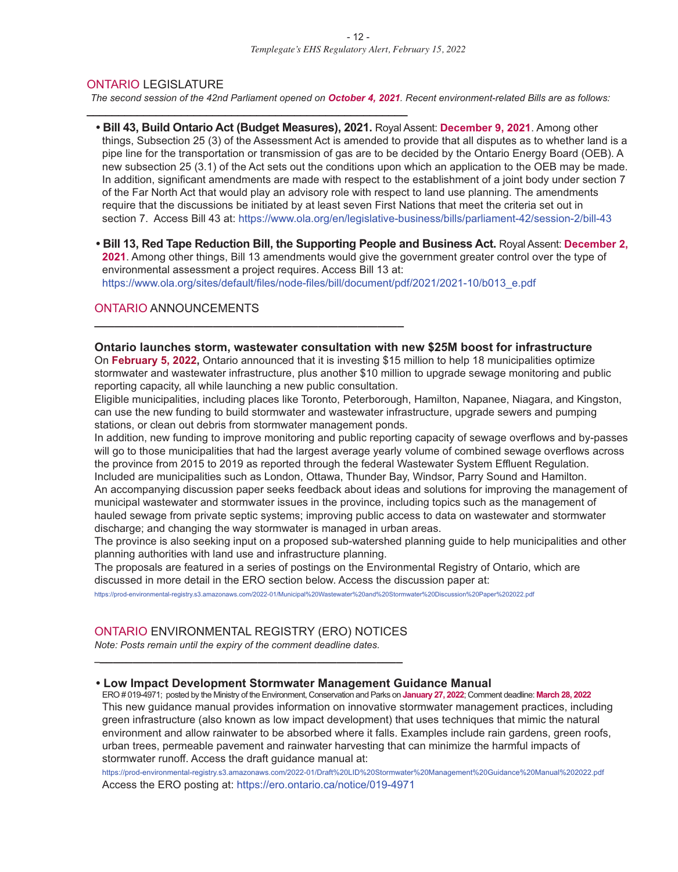#### ONTARIO LEGISLATURE

**\_\_\_\_\_\_\_\_\_\_\_\_\_\_\_\_\_\_\_\_\_\_\_\_\_\_\_\_\_\_\_\_\_\_\_\_\_\_\_\_\_\_\_\_\_\_\_\_\_\_\_**

**\_\_\_\_\_\_\_\_\_\_\_\_\_\_\_\_\_\_\_\_\_\_\_\_\_\_\_\_\_\_\_\_\_\_\_\_\_\_\_\_\_\_\_\_\_\_\_**

The second session of the 42nd Parliament opened on October 4, 2021. Recent environment-related Bills are as follows:

- **• Bill 43, Build Ontario Act (Budget Measures), 2021.** Royal Assent: **December 9, 2021**. Among other things, Subsection 25 (3) of the Assessment Act is amended to provide that all disputes as to whether land is a pipe line for the transportation or transmission of gas are to be decided by the Ontario Energy Board (OEB). A new subsection 25 (3.1) of the Act sets out the conditions upon which an application to the OEB may be made. In addition, significant amendments are made with respect to the establishment of a joint body under section 7 of the Far North Act that would play an advisory role with respect to land use planning. The amendments require that the discussions be initiated by at least seven First Nations that meet the criteria set out in section 7. Access Bill 43 at: https://www.ola.org/en/legislative-business/bills/parliament-42/session-2/bill-43
- **• Bill 13, Red Tape Reduction Bill, the Supporting People and Business Act.** Royal Assent: **December 2, 2021**. Among other things, Bill 13 amendments would give the government greater control over the type of environmental assessment a project requires. Access Bill 13 at: https://www.ola.org/sites/default/files/node-files/bill/document/pdf/2021/2021-10/b013\_e.pdf

#### ONTARIO ANNOUNCEMENTS

#### **Ontario launches storm, wastewater consultation with new \$25M boost for infrastructure**

On **February 5, 2022,** Ontario announced that it is investing \$15 million to help 18 municipalities optimize stormwater and wastewater infrastructure, plus another \$10 million to upgrade sewage monitoring and public reporting capacity, all while launching a new public consultation.

Eligible municipalities, including places like Toronto, Peterborough, Hamilton, Napanee, Niagara, and Kingston, can use the new funding to build stormwater and wastewater infrastructure, upgrade sewers and pumping stations, or clean out debris from stormwater management ponds.

In addition, new funding to improve monitoring and public reporting capacity of sewage overflows and by-passes will go to those municipalities that had the largest average yearly volume of combined sewage overflows across the province from 2015 to 2019 as reported through the federal Wastewater System Effluent Regulation. Included are municipalities such as London, Ottawa, Thunder Bay, Windsor, Parry Sound and Hamilton. An accompanying discussion paper seeks feedback about ideas and solutions for improving the management of municipal wastewater and stormwater issues in the province, including topics such as the management of hauled sewage from private septic systems; improving public access to data on wastewater and stormwater discharge; and changing the way stormwater is managed in urban areas.

The province is also seeking input on a proposed sub-watershed planning guide to help municipalities and other planning authorities with land use and infrastructure planning.

The proposals are featured in a series of postings on the Environmental Registry of Ontario, which are discussed in more detail in the ERO section below. Access the discussion paper at:

https://prod-environmental-registry.s3.amazonaws.com/2022-01/Municipal%20Wastewater%20and%20Stormwater%20Discussion%20Paper%202022.pdf

#### ONTARIO ENVIRONMENTAL REGISTRY (ERO) NOTICES

*\_***\_\_\_\_\_\_\_\_\_\_\_\_\_\_\_\_\_\_\_\_\_\_\_\_\_\_\_\_\_\_\_\_\_\_\_\_\_\_\_\_\_\_\_\_\_\_**

*Note: Posts remain until the expiry of the comment deadline dates.*

#### **• Low Impact Development Stormwater Management Guidance Manual**

ERO # 019-4971; posted by the Ministry of the Environment, Conservation and Parks on **January 27, 2022**; Comment deadline: **March 28, 2022** This new guidance manual provides information on innovative stormwater management practices, including green infrastructure (also known as low impact development) that uses techniques that mimic the natural environment and allow rainwater to be absorbed where it falls. Examples include rain gardens, green roofs, urban trees, permeable pavement and rainwater harvesting that can minimize the harmful impacts of stormwater runoff. Access the draft guidance manual at:

https://prod-environmental-registry.s3.amazonaws.com/2022-01/Draft%20LID%20Stormwater%20Management%20Guidance%20Manual%202022.pdf Access the ERO posting at: https://ero.ontario.ca/notice/019-4971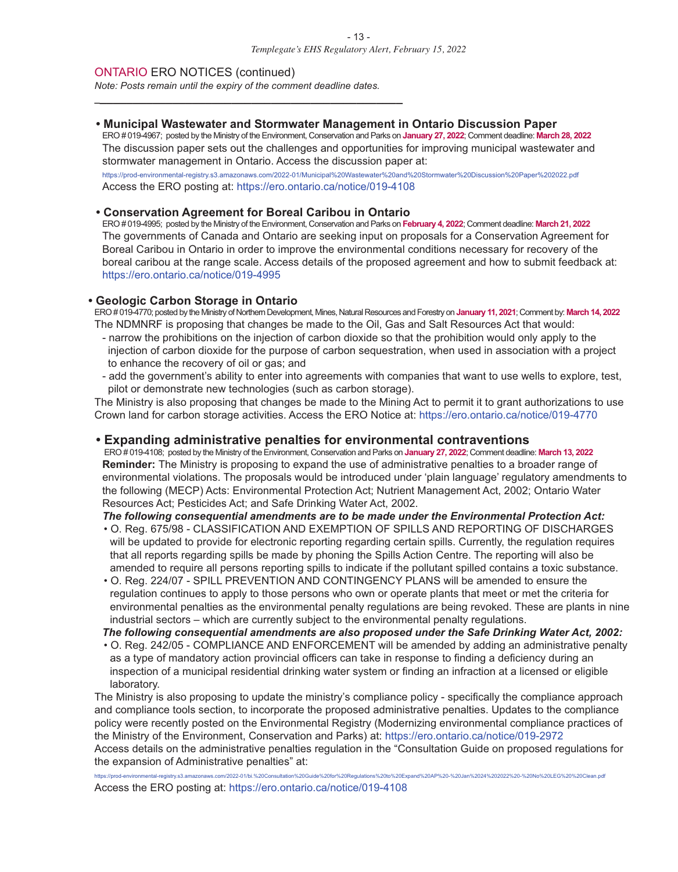ONTARIO ERO NOTICES (continued)

*Note: Posts remain until the expiry of the comment deadline dates.*

*\_***\_\_\_\_\_\_\_\_\_\_\_\_\_\_\_\_\_\_\_\_\_\_\_\_\_\_\_\_\_\_\_\_\_\_\_\_\_\_\_\_\_\_\_\_\_\_**

#### **• Municipal Wastewater and Stormwater Management in Ontario Discussion Paper**

ERO # 019-4967; posted by the Ministry of the Environment, Conservation and Parks on **January 27, 2022**; Comment deadline: **March 28, 2022** The discussion paper sets out the challenges and opportunities for improving municipal wastewater and stormwater management in Ontario. Access the discussion paper at:

https://prod-environmental-registry.s3.amazonaws.com/2022-01/Municipal%20Wastewater%20and%20Stormwater%20Discussion%20Paper%202022.pdf Access the ERO posting at: https://ero.ontario.ca/notice/019-4108

#### **• Conservation Agreement for Boreal Caribou in Ontario**

ERO # 019-4995; posted by the Ministry of the Environment, Conservation and Parks on **February 4, 2022**; Comment deadline: **March 21, 2022** The governments of Canada and Ontario are seeking input on proposals for a Conservation Agreement for Boreal Caribou in Ontario in order to improve the environmental conditions necessary for recovery of the boreal caribou at the range scale. Access details of the proposed agreement and how to submit feedback at: https://ero.ontario.ca/notice/019-4995

#### **• Geologic Carbon Storage in Ontario**

ERO# 019-4770; posted by the Ministry of Northern Development, Mines, Natural Resources andForestry on **January 11, 2021**; Comment by: **March14, 2022** The NDMNRF is proposing that changes be made to the Oil, Gas and Salt Resources Act that would:

- narrow the prohibitions on the injection of carbon dioxide so that the prohibition would only apply to the injection of carbon dioxide for the purpose of carbon sequestration, when used in association with a project to enhance the recovery of oil or gas; and
- add the government's ability to enter into agreements with companies that want to use wells to explore, test, pilot or demonstrate new technologies (such as carbon storage).

The Ministry is also proposing that changes be made to the Mining Act to permit it to grant authorizations to use Crown land for carbon storage activities. Access the ERO Notice at: https://ero.ontario.ca/notice/019-4770

#### **• Expanding administrative penalties for environmental contraventions**

ERO # 019-4108; posted by the Ministry of the Environment, Conservation and Parks on **January 27, 2022**; Comment deadline: **March 13, 2022 Reminder:** The Ministry is proposing to expand the use of administrative penalties to a broader range of environmental violations. The proposals would be introduced under 'plain language' regulatory amendments to the following (MECP) Acts: Environmental Protection Act; Nutrient Management Act, 2002; Ontario Water Resources Act; Pesticides Act; and Safe Drinking Water Act, 2002.

#### *The following consequential amendments are to be made under the Environmental Protection Act:*

- O. Reg. 675/98 CLASSIFICATION AND EXEMPTION OF SPILLS AND REPORTING OF DISCHARGES will be updated to provide for electronic reporting regarding certain spills. Currently, the regulation requires that all reports regarding spills be made by phoning the Spills Action Centre. The reporting will also be amended to require all persons reporting spills to indicate if the pollutant spilled contains a toxic substance.
- O. Reg. 224/07 SPILL PREVENTION AND CONTINGENCY PLANS will be amended to ensure the regulation continues to apply to those persons who own or operate plants that meet or met the criteria for environmental penalties as the environmental penalty regulations are being revoked. These are plants in nine industrial sectors – which are currently subject to the environmental penalty regulations.

*The following consequential amendments are also proposed under the Safe Drinking Water Act, 2002:*

• O. Reg. 242/05 - COMPLIANCE AND ENFORCEMENT will be amended by adding an administrative penalty as a type of mandatory action provincial officers can take in response to finding a deficiency during an inspection of a municipal residential drinking water system or finding an infraction at a licensed or eligible laboratory.

The Ministry is also proposing to update the ministry's compliance policy - specifically the compliance approach and compliance tools section, to incorporate the proposed administrative penalties. Updates to the compliance policy were recently posted on the Environmental Registry (Modernizing environmental compliance practices of the Ministry of the Environment, Conservation and Parks) at: https://ero.ontario.ca/notice/019-2972 Access details on the administrative penalties regulation in the "Consultation Guide on proposed regulations for the expansion of Administrative penalties" at:

https://prod-environmental-registry.s3.amazonaws.com/2022-01/bi.%20Consultation%20Guide%20for%20Regulations%20to%20Expand%20AP%20-%20Jan%2024%202022%20-%20No%20LEG%20%20Clean.pd

Access the ERO posting at: https://ero.ontario.ca/notice/019-4108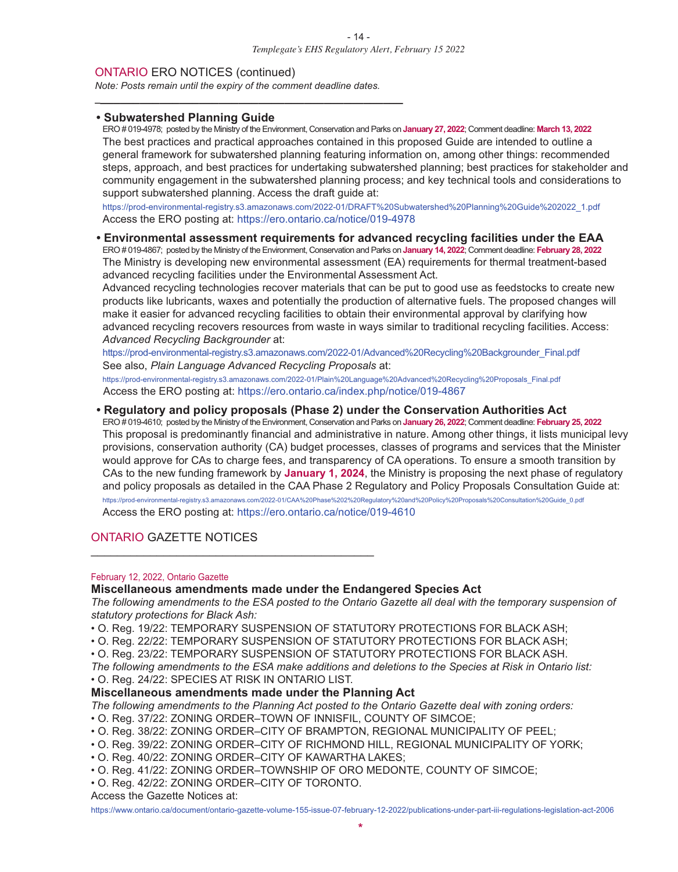#### ONTARIO ERO NOTICES (continued)

*Note: Posts remain until the expiry of the comment deadline dates.*

*\_***\_\_\_\_\_\_\_\_\_\_\_\_\_\_\_\_\_\_\_\_\_\_\_\_\_\_\_\_\_\_\_\_\_\_\_\_\_\_\_\_\_\_\_\_\_\_**

#### **• Subwatershed Planning Guide**

ERO # 019-4978; posted by the Ministry of the Environment, Conservation and Parks on **January 27, 2022**; Comment deadline: **March 13, 2022** The best practices and practical approaches contained in this proposed Guide are intended to outline a general framework for subwatershed planning featuring information on, among other things: recommended steps, approach, and best practices for undertaking subwatershed planning; best practices for stakeholder and community engagement in the subwatershed planning process; and key technical tools and considerations to support subwatershed planning. Access the draft guide at:

https://prod-environmental-registry.s3.amazonaws.com/2022-01/DRAFT%20Subwatershed%20Planning%20Guide%202022\_1.pdf Access the ERO posting at: https://ero.ontario.ca/notice/019-4978

#### **• Environmental assessment requirements for advanced recycling facilities under the EAA**

ERO # 019-4867; posted by the Ministry of the Environment, Conservation and Parks on **January 14, 2022**; Comment deadline: **February 28, 2022** The Ministry is developing new environmental assessment (EA) requirements for thermal treatment-based advanced recycling facilities under the Environmental Assessment Act.

Advanced recycling technologies recover materials that can be put to good use as feedstocks to create new products like lubricants, waxes and potentially the production of alternative fuels. The proposed changes will make it easier for advanced recycling facilities to obtain their environmental approval by clarifying how advanced recycling recovers resources from waste in ways similar to traditional recycling facilities. Access: *Advanced Recycling Backgrounder* at:

https://prod-environmental-registry.s3.amazonaws.com/2022-01/Advanced%20Recycling%20Backgrounder\_Final.pdf See also, *Plain Language Advanced Recycling Proposals* at:

https://prod-environmental-registry.s3.amazonaws.com/2022-01/Plain%20Language%20Advanced%20Recycling%20Proposals\_Final.pdf Access the ERO posting at: https://ero.ontario.ca/index.php/notice/019-4867

#### **• Regulatory and policy proposals (Phase 2) under the Conservation Authorities Act**

ERO # 019-4610; posted by the Ministry of the Environment, Conservation and Parks on **January 26, 2022**; Comment deadline: **February 25, 2022** This proposal is predominantly financial and administrative in nature. Among other things, it lists municipal levy provisions, conservation authority (CA) budget processes, classes of programs and services that the Minister would approve for CAs to charge fees, and transparency of CA operations. To ensure a smooth transition by CAs to the new funding framework by **January 1, 2024**, the Ministry is proposing the next phase of regulatory and policy proposals as detailed in the CAA Phase 2 Regulatory and Policy Proposals Consultation Guide at: https://prod-environmental-registry.s3.amazonaws.com/2022-01/CAA%20Phase%202%20Regulatory%20and%20Policy%20Proposals%20Consultation%20Guide\_0.pdf

Access the ERO posting at: https://ero.ontario.ca/notice/019-4610

\_\_\_\_\_\_\_\_\_\_\_\_\_\_\_\_\_\_\_\_\_\_\_\_\_\_\_\_\_\_\_\_\_\_\_\_\_\_\_\_\_\_\_

#### ONTARIO GAZETTE NOTICES

#### February 12, 2022, Ontario Gazette

#### **Miscellaneous amendments made under the Endangered Species Act**

The following amendments to the ESA posted to the Ontario Gazette all deal with the temporary suspension of *statutory protections for Black Ash:*

- O. Reg. 19/22: TEMPORARY SUSPENSION OF STATUTORY PROTECTIONS FOR BLACK ASH;
- O. Reg. 22/22: TEMPORARY SUSPENSION OF STATUTORY PROTECTIONS FOR BLACK ASH;
- O. Reg. 23/22: TEMPORARY SUSPENSION OF STATUTORY PROTECTIONS FOR BLACK ASH.
- The following amendments to the ESA make additions and deletions to the Species at Risk in Ontario list:
- O. Reg. 24/22: SPECIES AT RISK IN ONTARIO LIST.

#### **Miscellaneous amendments made under the Planning Act**

- *The following amendments to the Planning Act posted to the Ontario Gazette deal with zoning orders:*
- O. Reg. 37/22: ZONING ORDER–TOWN OF INNISFIL, COUNTY OF SIMCOE;
- O. Reg. 38/22: ZONING ORDER–CITY OF BRAMPTON, REGIONAL MUNICIPALITY OF PEEL;
- O. Reg. 39/22: ZONING ORDER–CITY OF RICHMOND HILL, REGIONAL MUNICIPALITY OF YORK;
- O. Reg. 40/22: ZONING ORDER–CITY OF KAWARTHA LAKES;
- O. Reg. 41/22: ZONING ORDER–TOWNSHIP OF ORO MEDONTE, COUNTY OF SIMCOE;
- O. Reg. 42/22: ZONING ORDER–CITY OF TORONTO.
- Access the Gazette Notices at:

https://www.ontario.ca/document/ontario-gazette-volume-155-issue-07-february-12-2022/publications-under-part-iii-regulations-legislation-act-2006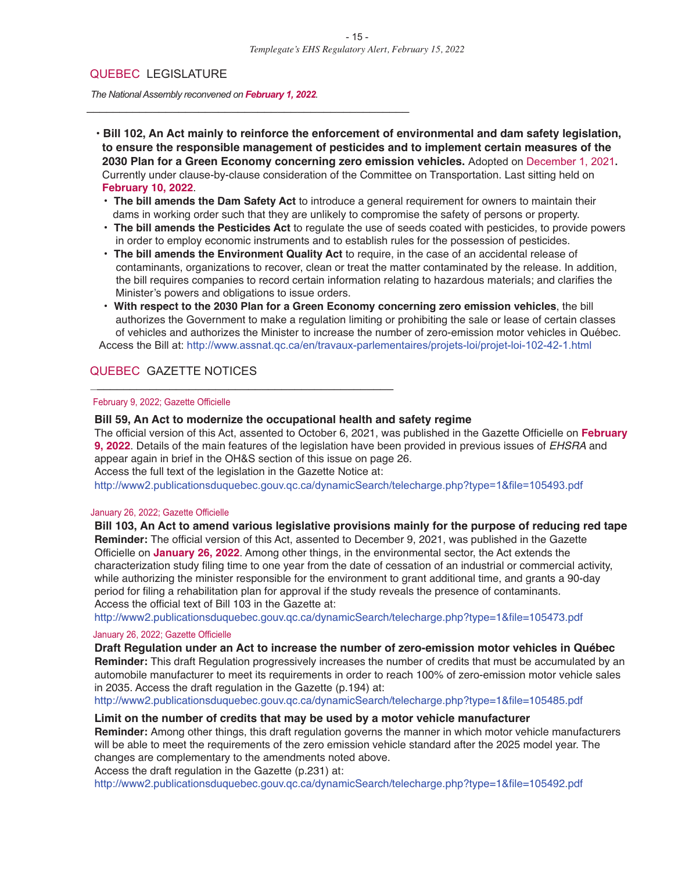#### QUEBEC LEGISLATURE

*The NationalAssembly reconvened on February 1, 2022.*

\_\_\_\_\_\_\_\_\_\_\_\_\_\_\_\_\_\_\_\_\_\_\_\_\_\_\_\_\_\_\_\_\_\_\_\_\_\_\_\_\_\_\_\_\_\_\_\_\_

**• Bill 102, An Act mainly to reinforce the enforcement of environmental and dam safety legislation, to ensure the responsible management of pesticides and to implement certain measures of the 2030 Plan for a Green Economy concerning zero emission vehicles.** Adopted on December 1, 2021**.** Currently under clause-by-clause consideration of the Committee on Transportation. Last sitting held on **February 10, 2022**.

- **• The bill amends the Dam Safety Act** to introduce a general requirement for owners to maintain their dams in working order such that they are unlikely to compromise the safety of persons or property.
- **• The bill amends the Pesticides Act** to regulate the use of seeds coated with pesticides, to provide powers in order to employ economic instruments and to establish rules for the possession of pesticides.
- **• The bill amends the Environment Quality Act** to require, in the case of an accidental release of contaminants, organizations to recover, clean or treat the matter contaminated by the release. In addition, the bill requires companies to record certain information relating to hazardous materials; and clarifies the Minister's powers and obligations to issue orders.
- **• With respect to the 2030 Plan for a Green Economy concerning zero emission vehicles**, the bill authorizes the Government to make a regulation limiting or prohibiting the sale or lease of certain classes of vehicles and authorizes the Minister to increase the number of zero-emission motor vehicles in Québec. Access the Bill at: http://www.assnat.qc.ca/en/travaux-parlementaires/projets-loi/projet-loi-102-42-1.html

#### QUEBEC GAZETTE NOTICES

#### February 9, 2022; Gazette Officielle

#### **Bill 59, An Act to modernize the occupational health and safety regime**

The official version of this Act, assented to October 6, 2021, was published in the Gazette Officielle on **February 9, 2022**. Details of the main features of the legislation have been provided in previous issues of *EHSRA* and appear again in brief in the OH&S section of this issue on page 26.

Access the full text of the legislation in the Gazette Notice at:

\_\_\_\_\_\_\_\_\_\_\_\_\_\_\_\_\_\_\_\_\_\_\_\_\_\_\_\_\_\_\_\_\_\_\_\_\_\_\_\_\_\_\_\_\_\_

http://www2.publicationsduquebec.gouv.qc.ca/dynamicSearch/telecharge.php?type=1&file=105493.pdf

#### January 26, 2022; Gazette Officielle

**Bill 103, An Act to amend various legislative provisions mainly for the purpose of reducing red tape Reminder:** The official version of this Act, assented to December 9, 2021, was published in the Gazette Officielle on **January 26, 2022**. Among other things, in the environmental sector, the Act extends the characterization study filing time to one year from the date of cessation of an industrial or commercial activity, while authorizing the minister responsible for the environment to grant additional time, and grants a 90-day period for filing a rehabilitation plan for approval if the study reveals the presence of contaminants. Access the official text of Bill 103 in the Gazette at:

http://www2.publicationsduquebec.gouv.qc.ca/dynamicSearch/telecharge.php?type=1&file=105473.pdf

#### January 26, 2022; Gazette Officielle

**Draft Regulation under an Act to increase the number of zero-emission motor vehicles in Québec Reminder:** This draft Regulation progressively increases the number of credits that must be accumulated by an automobile manufacturer to meet its requirements in order to reach 100% of zero-emission motor vehicle sales in 2035. Access the draft regulation in the Gazette (p.194) at:

http://www2.publicationsduquebec.gouv.qc.ca/dynamicSearch/telecharge.php?type=1&file=105485.pdf

#### **Limit on the number of credits that may be used by a motor vehicle manufacturer**

**Reminder:** Among other things, this draft regulation governs the manner in which motor vehicle manufacturers will be able to meet the requirements of the zero emission vehicle standard after the 2025 model year. The changes are complementary to the amendments noted above.

Access the draft regulation in the Gazette (p.231) at:

http://www2.publicationsduquebec.gouv.qc.ca/dynamicSearch/telecharge.php?type=1&file=105492.pdf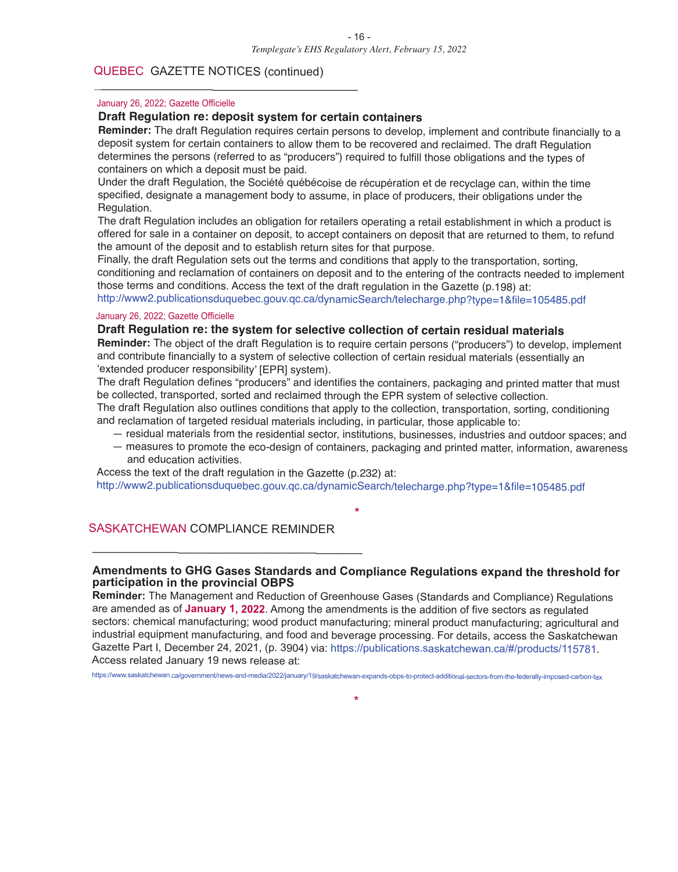#### QUEBEC GAZETTE NOTICES (continued)

\_\_\_\_\_\_\_\_\_\_\_\_\_\_\_\_\_\_\_\_\_\_\_\_\_\_\_\_\_\_\_\_\_\_\_\_\_\_\_\_

#### January 26, 2022; Gazette Officielle

#### **Draft Regulation re: deposit system for certain containers**

**Reminder:** The draft Regulation requires certain persons to develop, implement and contribute financially to <sup>a</sup> deposit system for certain containers to allow them to be recovered and reclaimed. The draft Regulation determines the persons (referred to as "producers") required to fulfill those obligations and the types of containers on which <sup>a</sup> deposit must be paid.

Under the draft Regulation, the Société québécoise de récupération et de recyclage can, within the time specified, designate <sup>a</sup> management body to assume, in place of producers, their obligations under the Regulation.

The draft Regulation includes an obligation for retailers operating <sup>a</sup> retail establishment in which <sup>a</sup> product is offered for sale in <sup>a</sup> container on deposit, to accept containers on deposit that are returned to them, to refund the amount of the deposit and to establish return sites for that purpose.

Finally, the draft Regulation sets out the terms and conditions that apply to the transportation, sorting, conditioning and reclamation of containers on deposit and to the entering of the contracts needed to implement those terms and conditions. Access the text of the draft regulation in the Gazette (p.198) at: http://www2.publicationsduquebec.gouv.qc.ca/dynamicSearch/telecharge.php?type=1&file=105485.pdf

#### January 26, 2022; Gazette Officielle

#### **Draft Regulation re: the system for selective collection of certain residual materials**

**Reminder:** The object of the draft Regulation is to require certain persons ("producers") to develop, implement and contribute financially to <sup>a</sup> system of selective collection of certain residual materials (essentially an 'extended producer responsibility' [EPR] system).

The draft Regulation defines "producers" and identifies the containers, packaging and printed matter that must be collected, transported, sorted and reclaimed through the EPR system of selective collection.

The draft Regulation also outlines conditions that apply to the collection, transportation, sorting, conditioning and reclamation of targeted residual materials including, in particular, those applicable to:

- residual materials from the residential sector, institutions, businesses, industries and outdoor spaces; and
- measures to promote the eco-design of containers, packaging and printed matter, information, awareness and education activities.

Access the text of the draft regulation in the Gazette (p.232) at: http://www2.publicationsduquebec.gouv.qc.ca/dynamicSearch/telecharge.php?type=1&file=105485.pdf

#### SASKATCHEWAN COMPLIANCE REMINDER

\_\_\_\_\_\_\_\_\_\_\_\_\_\_\_\_\_\_\_\_\_\_\_\_\_\_\_\_\_\_\_\_\_\_\_\_\_\_\_\_\_

#### **Amendments to GHG Gases Standards and Compliance Regulations expand the threshold for participation in the provincial OBPS**

**\***

**Reminder:** The Management and Reduction of Greenhouse Gases (Standards and Compliance) Regulations are amended as of **January 1, <sup>2022</sup>**. Among the amendments is the addition of five sectors as regulated sectors: chemical manufacturing; wood product manufacturing; mineral product manufacturing; agricultural and industrial equipment manufacturing, and food and beverage processing. For details, access the Saskatchewan Gazette Part I, December 24, 2021, (p. 3904) via: https://publications.saskatchewan.ca/#/products/115781. Access related January 19 news release at:

https://www.saskatchewan.ca/government/news-and-media/2022/january/19/saskatchewan-expands-obps-to-protect-additional-sectors-from-the-federally-imposed-carbon-tax

**\***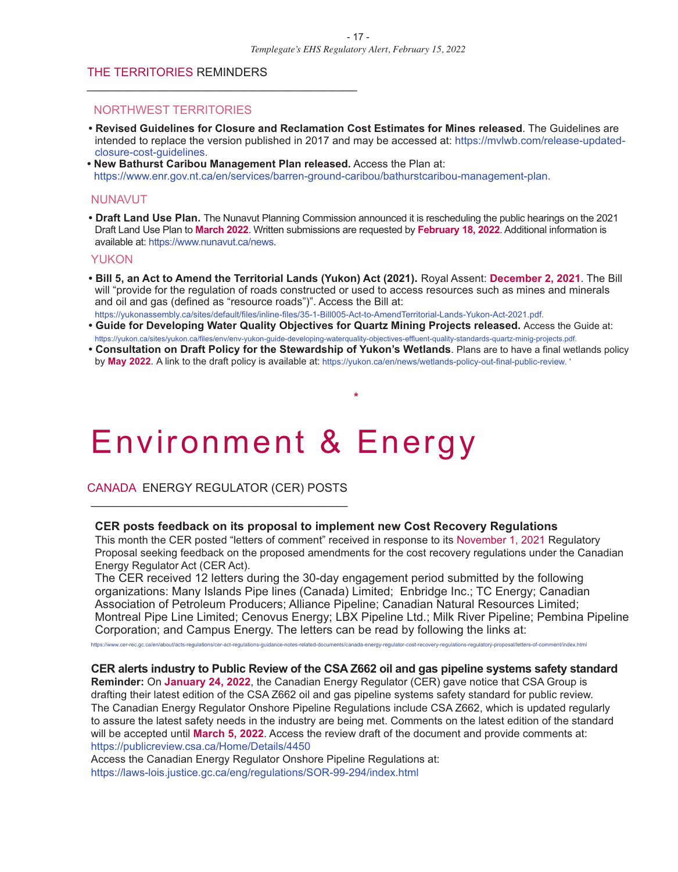#### THE TERRITORIES REMINDERS

\_\_\_\_\_\_\_\_\_\_\_\_\_\_\_\_\_\_\_\_\_\_\_\_\_\_\_\_\_\_\_\_\_\_\_\_\_\_\_\_\_

#### NORTHWEST TERRITORIES

- **• Revised Guidelines for Closure and Reclamation Cost Estimates for Mines released**. The Guidelines are intended to replace the version published in 2017 and may be accessed at: https://mvlwb.com/release-updatedclosure-cost-guidelines.
- **• New Bathurst Caribou Management Plan released.** Access the Plan at: https://www.enr.gov.nt.ca/en/services/barren-ground-caribou/bathurstcaribou-management-plan.

#### NUNAVUT

**• Draft Land Use Plan.** The Nunavut Planning Commission announced it is rescheduling the public hearings on the 2021 Draft Land Use Plan to **March 2022**. Written submissions are requested by **February 18, 2022**. Additional information is available at: https://www.nunavut.ca/news.

#### YUKON

- **• Bill 5, an Act to Amend the Territorial Lands (Yukon) Act (2021).** Royal Assent: **December 2, 2021**. The Bill will "provide for the regulation of roads constructed or used to access resources such as mines and minerals and oil and gas (defined as "resource roads")". Access the Bill at: https://yukonassembly.ca/sites/default/files/inline-files/35-1-Bill005-Act-to-AmendTerritorial-Lands-Yukon-Act-2021.pdf.
- **• Guide for Developing Water Quality Objectives for Quartz Mining Projects released.** Access the Guide at: https://yukon.ca/sites/yukon.ca/files/env/env-yukon-guide-developing-waterquality-objectives-effluent-quality-standards-quartz-minig-projects.pdf.
- **• Consultation on Draft Policy for the Stewardship of Yukon's Wetlands**. Plans are to have a final wetlands policy by **May 2022**. A link to the draft policy is available at: https://yukon.ca/en/news/wetlands-policy-out-final-public-review. '

**\***

## Environment & Energy

CANADA ENERGY REGULATOR (CER) POSTS \_\_\_\_\_\_\_\_\_\_\_\_\_\_\_\_\_\_\_\_\_\_\_\_\_\_\_\_\_\_\_\_\_\_\_\_\_\_\_

#### **CER posts feedback on its proposal to implement new Cost Recovery Regulations**

This month the CER posted "letters of comment" received in response to its November 1, 2021 Regulatory Proposal seeking feedback on the proposed amendments for the cost recovery regulations under the Canadian Energy Regulator Act (CER Act).

The CER received 12 letters during the 30-day engagement period submitted by the following organizations: Many Islands Pipe lines (Canada) Limited; Enbridge Inc.; TC Energy; Canadian Association of Petroleum Producers; Alliance Pipeline; Canadian Natural Resources Limited; Montreal Pipe Line Limited; Cenovus Energy; LBX Pipeline Ltd.; Milk River Pipeline; Pembina Pipeline Corporation; and Campus Energy. The letters can be read by following the links at:

https://www.cer-rec.gc.ca/en/about/acts-regulations/cer-act-regulations-guidance-notes-related-documents/canada-energy-regulator-cost-recovery-regulations-regulatory-proposal/letters-of-comment/index.html

#### **CER alerts industry to Public Review of the CSA Z662 oil and gas pipeline systems safety standard**

**Reminder:** On **January 24, 2022**, the Canadian Energy Regulator (CER) gave notice that CSA Group is drafting their latest edition of the CSA Z662 oil and gas pipeline systems safety standard for public review. The Canadian Energy Regulator Onshore Pipeline Regulations include CSA Z662, which is updated regularly to assure the latest safety needs in the industry are being met. Comments on the latest edition of the standard will be accepted until **March 5, 2022**. Access the review draft of the document and provide comments at: https://publicreview.csa.ca/Home/Details/4450

Access the Canadian Energy Regulator Onshore Pipeline Regulations at: https://laws-lois.justice.gc.ca/eng/regulations/SOR-99-294/index.html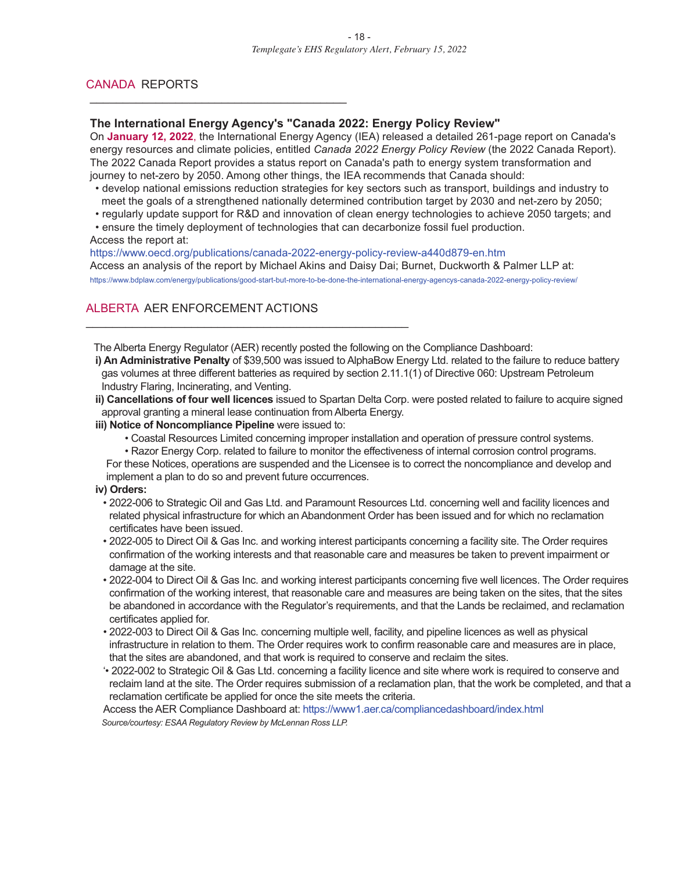#### CANADA REPORTS

#### **The International Energy Agency's "Canada 2022: Energy Policy Review"**

On **January 12, 2022**, the International Energy Agency (IEA) released a detailed 261-page report on Canada's energy resources and climate policies, entitled *Canada 2022 Energy Policy Review* (the 2022 Canada Report). The 2022 Canada Report provides a status report on Canada's path to energy system transformation and journey to net-zero by 2050. Among other things, the IEA recommends that Canada should:

- develop national emissions reduction strategies for key sectors such as transport, buildings and industry to meet the goals of a strengthened nationally determined contribution target by 2030 and net-zero by 2050;
- regularly update support for R&D and innovation of clean energy technologies to achieve 2050 targets; and • ensure the timely deployment of technologies that can decarbonize fossil fuel production.

Access the report at:

https://www.oecd.org/publications/canada-2022-energy-policy-review-a440d879-en.htm Access an analysis of the report by Michael Akins and Daisy Dai; Burnet, Duckworth & Palmer LLP at:

https://www.bdplaw.com/energy/publications/good-start-but-more-to-be-done-the-international-energy-agencys-canada-2022-energy-policy-review/

#### ALBERTA AER ENFORCEMENT ACTIONS

\_\_\_\_\_\_\_\_\_\_\_\_\_\_\_\_\_\_\_\_\_\_\_\_\_\_\_\_\_\_\_\_\_\_\_\_\_\_\_

The Alberta Energy Regulator (AER) recently posted the following on the Compliance Dashboard:

**i) An Administrative Penalty** of \$39,500 was issued to AlphaBow Energy Ltd. related to the failure to reduce battery gas volumes at three different batteries as required by section 2.11.1(1) of Directive 060: Upstream Petroleum Industry Flaring, Incinerating, and Venting.

**ii) Cancellations of four well licences** issued to Spartan Delta Corp. were posted related to failure to acquire signed approval granting a mineral lease continuation from Alberta Energy.

#### **iii) Notice of Noncompliance Pipeline** were issued to:

\_\_\_\_\_\_\_\_\_\_\_\_\_\_\_\_\_\_\_\_\_\_\_\_\_\_\_\_\_\_\_\_\_\_\_\_\_\_\_\_\_\_\_\_\_\_\_\_\_

• Coastal Resources Limited concerning improper installation and operation of pressure control systems.

• Razor Energy Corp. related to failure to monitor the effectiveness of internal corrosion control programs. For these Notices, operations are suspended and the Licensee is to correct the noncompliance and develop and implement a plan to do so and prevent future occurrences.

#### **iv) Orders:**

- 2022-006 to Strategic Oil and Gas Ltd. and Paramount Resources Ltd. concerning well and facility licences and related physical infrastructure for which an Abandonment Order has been issued and for which no reclamation certificates have been issued.
- 2022-005 to Direct Oil & Gas Inc. and working interest participants concerning a facility site. The Order requires confirmation of the working interests and that reasonable care and measures be taken to prevent impairment or damage at the site.
- 2022-004 to Direct Oil & Gas Inc. and working interest participants concerning five well licences. The Order requires confirmation of the working interest, that reasonable care and measures are being taken on the sites, that the sites be abandoned in accordance with the Regulator's requirements, and that the Lands be reclaimed, and reclamation certificates applied for.
- 2022-003 to Direct Oil & Gas Inc. concerning multiple well, facility, and pipeline licences as well as physical infrastructure in relation to them. The Order requires work to confirm reasonable care and measures are in place, that the sites are abandoned, and that work is required to conserve and reclaim the sites.
- '• 2022-002 to Strategic Oil & Gas Ltd. concerning a facility licence and site where work is required to conserve and reclaim land at the site. The Order requires submission of a reclamation plan, that the work be completed, and that a reclamation certificate be applied for once the site meets the criteria.

Access the AER Compliance Dashboard at: https://www1.aer.ca/compliancedashboard/index.html *Source/courtesy: ESAA Regulatory Review by McLennan Ross LLP.*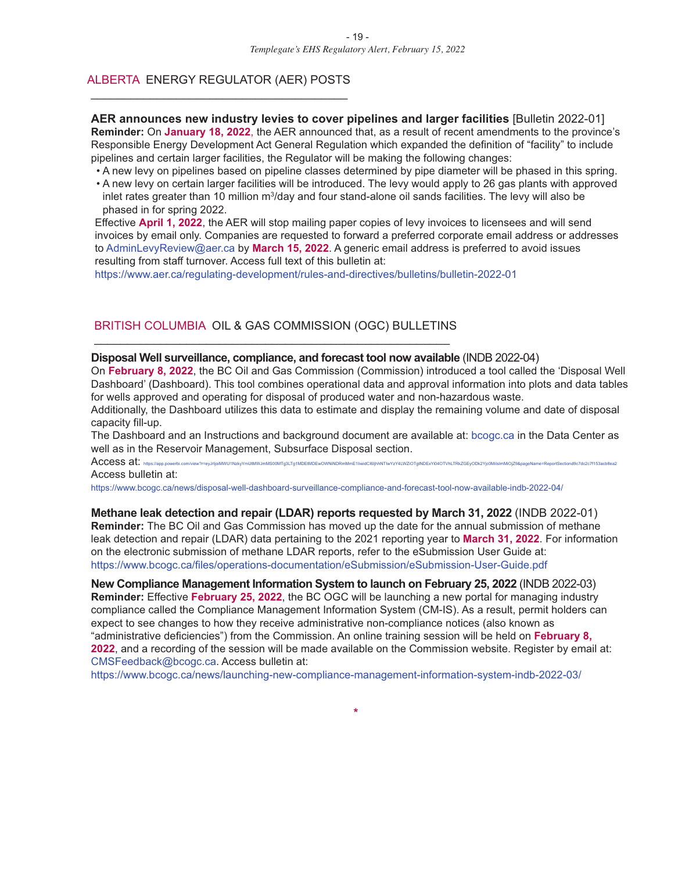#### ALBERTA ENERGY REGULATOR (AER) POSTS \_\_\_\_\_\_\_\_\_\_\_\_\_\_\_\_\_\_\_\_\_\_\_\_\_\_\_\_\_\_\_\_\_\_\_\_\_\_\_

**AER announces new industry levies to cover pipelines and larger facilities** [Bulletin 2022-01] **Reminder:** On **January 18, 2022**, the AER announced that, as a result of recent amendments to the province's Responsible Energy Development Act General Regulation which expanded the definition of "facility" to include pipelines and certain larger facilities, the Regulator will be making the following changes:

• A new levy on pipelines based on pipeline classes determined by pipe diameter will be phased in this spring.

• A new levy on certain larger facilities will be introduced. The levy would apply to 26 gas plants with approved inlet rates greater than 10 million m<sup>3</sup>/day and four stand-alone oil sands facilities. The levy will also be phased in for spring 2022.

Effective **April 1, 2022**, the AER will stop mailing paper copies of levy invoices to licensees and will send invoices by email only. Companies are requested to forward a preferred corporate email address or addresses to AdminLevyReview@aer.ca by **March 15, 2022**. A generic email address is preferred to avoid issues resulting from staff turnover. Access full text of this bulletin at:

https://www.aer.ca/regulating-development/rules-and-directives/bulletins/bulletin-2022-01

#### BRITISH COLUMBIA OIL & GAS COMMISSION (OGC) BULLETINS \_\_\_\_\_\_\_\_\_\_\_\_\_\_\_\_\_\_\_\_\_\_\_\_\_\_\_\_\_\_\_\_\_\_\_\_\_\_\_\_\_\_\_\_\_\_\_\_\_\_\_\_\_\_

#### **Disposal Well surveillance, compliance, and forecast tool now available** (INDB 2022-04)

On **February 8, 2022**, the BC Oil and Gas Commission (Commission) introduced a tool called the 'Disposal Well Dashboard' (Dashboard). This tool combines operational data and approval information into plots and data tables for wells approved and operating for disposal of produced water and non-hazardous waste.

Additionally, the Dashboard utilizes this data to estimate and display the remaining volume and date of disposal capacity fill-up.

The Dashboard and an Instructions and background document are available at: bcogc.ca in the Data Center as well as in the Reservoir Management, Subsurface Disposal section.

 $\mathsf{Access}$  at: https://app.powerbi.com/view?r=eyJrIjoiMWU1NzkyYmUtMWJmMS00MTg3LTg1MDEtMDEwOWNiNDRmMmE1IiwidCi6ijhhNTiwYzY4LWZiOTgtNDExYi04OTVhLTRkZGEyODk2Yjc0MiIsimMiOjZ9&pageName=ReportSectiond9c7dc2c7f153acb8ea2

Access bulletin at:

https://www.bcogc.ca/news/disposal-well-dashboard-surveillance-compliance-and-forecast-tool-now-available-indb-2022-04/

**Methane leak detection and repair (LDAR) reports requested by March 31, 2022** (INDB 2022-01) **Reminder:** The BC Oil and Gas Commission has moved up the date for the annual submission of methane leak detection and repair (LDAR) data pertaining to the 2021 reporting year to **March 31, 2022**. For information on the electronic submission of methane LDAR reports, refer to the eSubmission User Guide at: https://www.bcogc.ca/files/operations-documentation/eSubmission/eSubmission-User-Guide.pdf

**New Compliance Management Information System to launch on February 25, 2022** (INDB 2022-03) **Reminder:** Effective **February 25, 2022**, the BC OGC will be launching a new portal for managing industry compliance called the Compliance Management Information System (CM-IS). As a result, permit holders can expect to see changes to how they receive administrative non-compliance notices (also known as "administrative deficiencies") from the Commission. An online training session will be held on **February 8, 2022**, and a recording of the session will be made available on the Commission website. Register by email at: CMSFeedback@bcogc.ca. Access bulletin at:

https://www.bcogc.ca/news/launching-new-compliance-management-information-system-indb-2022-03/

**\***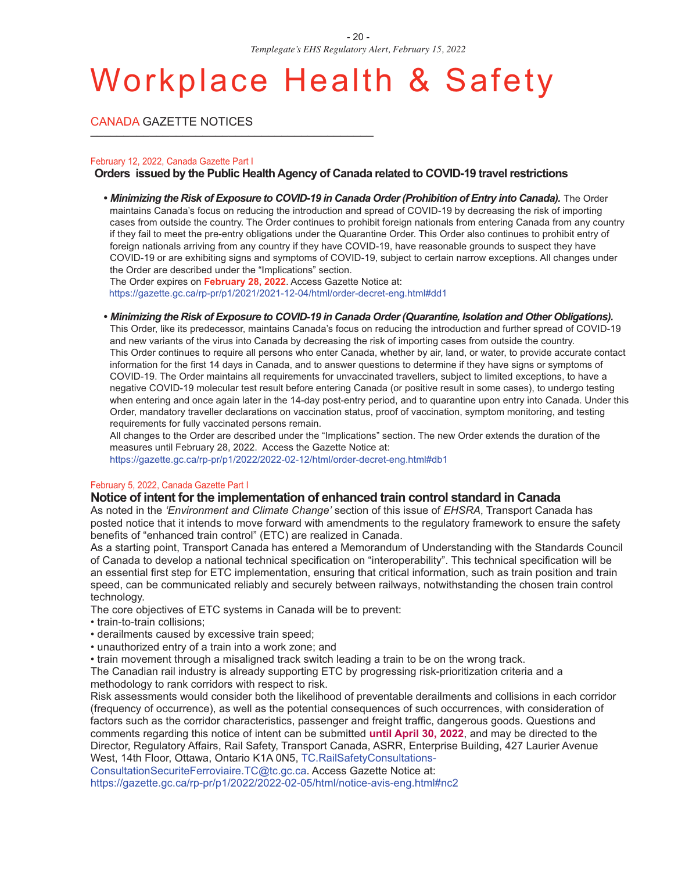## Workplace Health & Safety

CANADA GAZETTE NOTICES

#### February 12, 2022, Canada Gazette Part I

#### **Orders issued by the Public Health Agency of Canada related to COVID-19 travelrestrictions**

**•** *Minimizing the Risk of Exposure to COVID-19 in Canada Order(Prohibition of Entry into Canada).* The Order maintains Canada's focus on reducing the introduction and spread of COVID-19 by decreasing the risk of importing cases from outside the country. The Order continues to prohibit foreign nationals from entering Canada from any country if they fail to meet the pre-entry obligations under the Quarantine Order. This Order also continues to prohibit entry of foreign nationals arriving from any country if they have COVID-19, have reasonable grounds to suspect they have COVID-19 or are exhibiting signs and symptoms of COVID-19, subject to certain narrow exceptions. All changes under the Order are described under the "Implications" section.

The Order expires on **February 28, 2022**. Access Gazette Notice at: https://gazette.gc.ca/rp-pr/p1/2021/2021-12-04/html/order-decret-eng.html#dd1

**•** *Minimizing the Risk of Exposure to COVID-19 in Canada Order(Quarantine, Isolation and Other Obligations).*

This Order, like its predecessor, maintains Canada's focus on reducing the introduction and further spread of COVID-19 and new variants of the virus into Canada by decreasing the risk of importing cases from outside the country. This Order continues to require all persons who enter Canada, whether by air, land, or water, to provide accurate contact information for the first 14 days in Canada, and to answer questions to determine if they have signs or symptoms of COVID-19. The Order maintains all requirements for unvaccinated travellers, subject to limited exceptions, to have a negative COVID-19 molecular test result before entering Canada (or positive result in some cases), to undergo testing when entering and once again later in the 14-day post-entry period, and to quarantine upon entry into Canada. Under this Order, mandatory traveller declarations on vaccination status, proof of vaccination, symptom monitoring, and testing requirements for fully vaccinated persons remain.

All changes to the Order are described under the "Implications" section. The new Order extends the duration of the measures until February 28, 2022. Access the Gazette Notice at:

https://gazette.gc.ca/rp-pr/p1/2022/2022-02-12/html/order-decret-eng.html#db1

#### February 5, 2022, Canada Gazette Part I

#### **Notice of intent forthe implementation of enhanced train control standard in Canada**

As noted in the *'Environment and Climate Change'* section of this issue of *EHSRA*, Transport Canada has posted notice that it intends to move forward with amendments to the regulatory framework to ensure the safety benefits of "enhanced train control" (ETC) are realized in Canada.

As a starting point, Transport Canada has entered a Memorandum of Understanding with the Standards Council of Canada to develop a national technical specification on "interoperability". This technical specification will be an essential first step for ETC implementation, ensuring that critical information, such as train position and train speed, can be communicated reliably and securely between railways, notwithstanding the chosen train control technology.

The core objectives of ETC systems in Canada will be to prevent:

- train-to-train collisions;
- derailments caused by excessive train speed;
- unauthorized entry of a train into a work zone; and
- train movement through a misaligned track switch leading a train to be on the wrong track.

The Canadian rail industry is already supporting ETC by progressing risk-prioritization criteria and a methodology to rank corridors with respect to risk.

Risk assessments would consider both the likelihood of preventable derailments and collisions in each corridor (frequency of occurrence), as well as the potential consequences of such occurrences, with consideration of factors such as the corridor characteristics, passenger and freight traffic, dangerous goods. Questions and comments regarding this notice of intent can be submitted **until April 30, 2022**, and may be directed to the Director, Regulatory Affairs, Rail Safety, Transport Canada, ASRR, Enterprise Building, 427 Laurier Avenue West, 14th Floor, Ottawa, Ontario K1A 0N5, TC.RailSafetyConsultations-

ConsultationSecuriteFerroviaire.TC@tc.gc.ca. Access Gazette Notice at:

https://gazette.gc.ca/rp-pr/p1/2022/2022-02-05/html/notice-avis-eng.html#nc2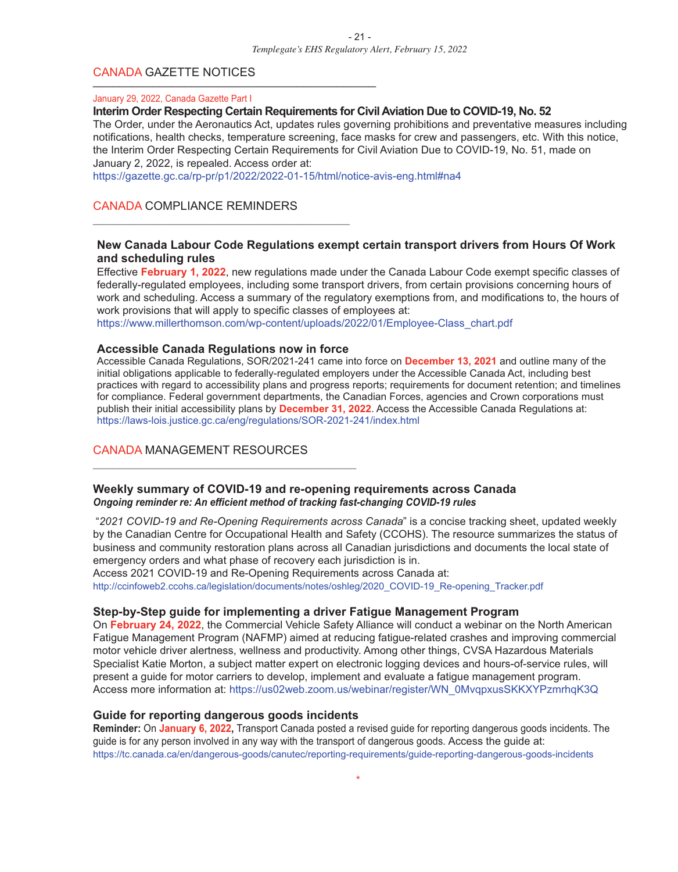#### CANADA GAZETTE NOTICES

#### January 29, 2022, Canada Gazette Part I

#### **Interim Order Respecting Certain Requirements for Civil Aviation Due to COVID-19, No. 52**

The Order, under the Aeronautics Act, updates rules governing prohibitions and preventative measures including notifications, health checks, temperature screening, face masks for crew and passengers, etc. With this notice, the Interim Order Respecting Certain Requirements for Civil Aviation Due to COVID-19, No. 51, made on January 2, 2022, is repealed. Access order at:

https://gazette.gc.ca/rp-pr/p1/2022/2022-01-15/html/notice-avis-eng.html#na4

#### CANADA COMPLIANCE REMINDERS

#### **New Canada Labour Code Regulations exempt certain transport drivers from Hours Of Work and scheduling rules**

Effective **February 1, 2022**, new regulations made under the Canada Labour Code exempt specific classes of federally-regulated employees, including some transport drivers, from certain provisions concerning hours of work and scheduling. Access a summary of the regulatory exemptions from, and modifications to, the hours of work provisions that will apply to specific classes of employees at:

https://www.millerthomson.com/wp-content/uploads/2022/01/Employee-Class\_chart.pdf

#### **Accessible Canada Regulations now in force**

\_\_\_\_\_\_\_\_\_\_\_\_\_\_\_\_\_\_\_\_\_\_\_\_\_\_\_\_\_\_\_\_\_\_\_\_\_\_\_\_

\_\_\_\_\_\_\_\_\_\_\_\_\_\_\_\_\_\_\_\_\_\_\_\_\_\_\_\_\_\_\_\_\_\_\_\_\_\_\_

Accessible Canada Regulations, SOR/2021-241 came into force on **December 13, 2021** and outline many of the initial obligations applicable to federally-regulated employers under the Accessible Canada Act, including best practices with regard to accessibility plans and progress reports; requirements for document retention; and timelines for compliance. Federal government departments, the Canadian Forces, agencies and Crown corporations must publish their initial accessibility plans by **December 31, 2022**. Access the Accessible Canada Regulations at: https://laws-lois.justice.gc.ca/eng/regulations/SOR-2021-241/index.html

#### CANADA MANAGEMENT RESOURCES

#### **Weekly summary of COVID-19 and re-opening requirements across Canada** *Ongoing reminder re: An efficient method of tracking fast-changing COVID-19 rules*

"*2021 COVID-19 and Re-Opening Requirements across Canada*" is a concise tracking sheet, updated weekly by the Canadian Centre for Occupational Health and Safety (CCOHS). The resource summarizes the status of business and community restoration plans across all Canadian jurisdictions and documents the local state of emergency orders and what phase of recovery each jurisdiction is in.

Access 2021 COVID-19 and Re-Opening Requirements across Canada at: http://ccinfoweb2.ccohs.ca/legislation/documents/notes/oshleg/2020\_COVID-19\_Re-opening\_Tracker.pdf

#### **Step-by-Step guide for implementing a driver Fatigue Management Program**

On **February 24, 2022**, the Commercial Vehicle Safety Alliance will conduct a webinar on the North American Fatigue Management Program (NAFMP) aimed at reducing fatigue-related crashes and improving commercial motor vehicle driver alertness, wellness and productivity. Among other things, CVSA Hazardous Materials Specialist Katie Morton, a subject matter expert on electronic logging devices and hours-of-service rules, will present a guide for motor carriers to develop, implement and evaluate a fatigue management program. Access more information at: https://us02web.zoom.us/webinar/register/WN\_0MvqpxusSKKXYPzmrhqK3Q

#### **Guide for reporting dangerous goods incidents**

**Reminder:** On **January 6, 2022,** Transport Canada posted a revised guide for reporting dangerous goods incidents. The guide is for any person involved in any way with the transport of dangerous goods. Access the guide at: https://tc.canada.ca/en/dangerous-goods/canutec/reporting-requirements/guide-reporting-dangerous-goods-incidents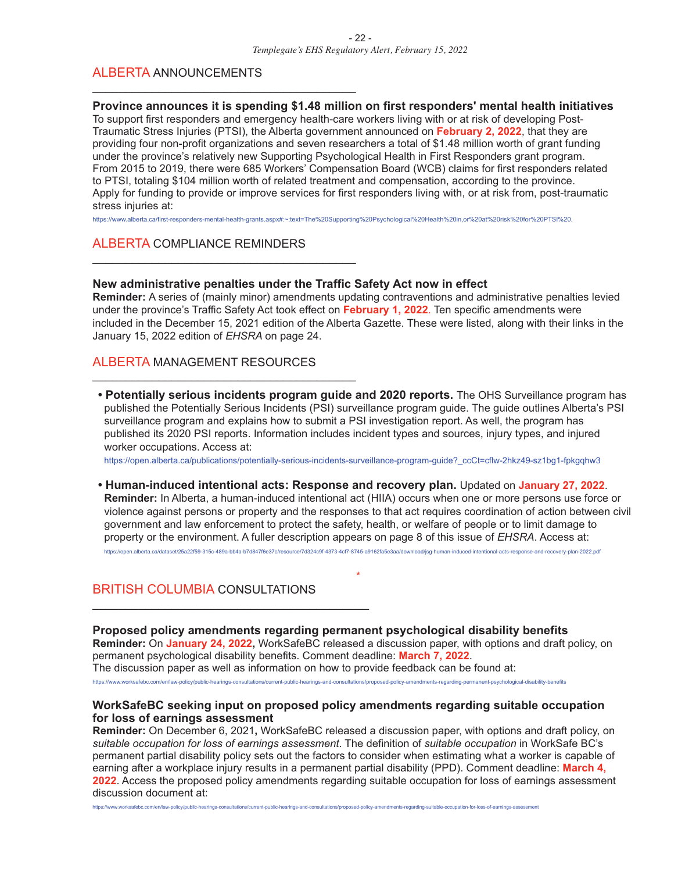#### ALBERTA ANNOUNCEMENTS

#### **Province announces it is spending \$1.48 million on first responders' mental health initiatives**

To support first responders and emergency health-care workers living with or at risk of developing Post-Traumatic Stress Injuries (PTSI), the Alberta government announced on **February 2, 2022**, that they are providing four non-profit organizations and seven researchers a total of \$1.48 million worth of grant funding under the province's relatively new Supporting Psychological Health in First Responders grant program. From 2015 to 2019, there were 685 Workers' Compensation Board (WCB) claims for first responders related to PTSI, totaling \$104 million worth of related treatment and compensation, according to the province. Apply for funding to provide or improve services for first responders living with, or at risk from, post-traumatic stress injuries at:

https://www.alberta.ca/first-responders-mental-health-grants.aspx#:~:text=The%20Supporting%20Psychological%20Health%20in,or%20at%20risk%20for%20PTSI%20.

#### ALBERTA COMPLIANCE REMINDERS

\_\_\_\_\_\_\_\_\_\_\_\_\_\_\_\_\_\_\_\_\_\_\_\_\_\_\_\_\_\_\_\_\_\_\_\_\_\_\_\_

\_\_\_\_\_\_\_\_\_\_\_\_\_\_\_\_\_\_\_\_\_\_\_\_\_\_\_\_\_\_\_\_\_\_\_\_\_\_\_\_

#### **New administrative penalties under the Traffic Safety Act now in effect**

**Reminder:** A series of (mainly minor) amendments updating contraventions and administrative penalties levied under the province's Traffic Safety Act took effect on **February 1, 2022**. Ten specific amendments were included in the December 15, 2021 edition of the Alberta Gazette. These were listed, along with their links in the January 15, 2022 edition of *EHSRA* on page 24.

#### ALBERTA MANAGEMENT RESOURCES

\_\_\_\_\_\_\_\_\_\_\_\_\_\_\_\_\_\_\_\_\_\_\_\_\_\_\_\_\_\_\_\_\_\_\_\_\_\_\_\_

**• Potentially serious incidents program guide and 2020 reports.** The OHS Surveillance program has published the Potentially Serious Incidents (PSI) surveillance program guide. The guide outlines Alberta's PSI surveillance program and explains how to submit a PSI investigation report. As well, the program has published its 2020 PSI reports. Information includes incident types and sources, injury types, and injured worker occupations. Access at:

https://open.alberta.ca/publications/potentially-serious-incidents-surveillance-program-guide?\_ccCt=cflw-2hkz49-sz1bg1-fpkgqhw3

**• Human-induced intentional acts: Response and recovery plan.** Updated on **January 27, 2022**. **Reminder:** In Alberta, a human-induced intentional act (HIIA) occurs when one or more persons use force or violence against persons or property and the responses to that act requires coordination of action between civil government and law enforcement to protect the safety, health, or welfare of people or to limit damage to property or the environment. A fuller description appears on page 8 of this issue of *EHSRA*. Access at: https://open.alberta.ca/dataset/25a22f59-315c-489a-bb4a-b7d847f6e37c/resource/7d324c9f-4373-4cf7-8745-a9162fa5e3aa/download/jsg-human-induced-intentional-acts-response-and-recovery-plan-2022.pdf

#### BRITISH COLUMBIA CONSULTATIONS

\_\_\_\_\_\_\_\_\_\_\_\_\_\_\_\_\_\_\_\_\_\_\_\_\_\_\_\_\_\_\_\_\_\_\_\_\_\_\_\_\_\_

**Proposed policy amendments regarding permanent psychological disability benefits Reminder:** On **January 24, 2022,** WorkSafeBC released a discussion paper, with options and draft policy, on permanent psychological disability benefits. Comment deadline: **March 7, 2022**. The discussion paper as well as information on how to provide feedback can be found at:

\*

https://www.worksafebc.com/en/law-policy/public-hearings-consultations/current-public-hearings-and-consultations/proposed-policy-amendments-regarding-permanent-psychological-disability-benefits

#### **WorkSafeBC seeking input on proposed policy amendments regarding suitable occupation for loss of earnings assessment**

**Reminder:** On December 6, 2021**,** WorkSafeBC released a discussion paper, with options and draft policy, on *suitable occupation for loss of earnings assessment*. The definition of *suitable occupation* in WorkSafe BC's permanent partial disability policy sets out the factors to consider when estimating what a worker is capable of earning after a workplace injury results in a permanent partial disability (PPD). Comment deadline: **March 4, 2022**. Access the proposed policy amendments regarding suitable occupation for loss of earnings assessment discussion document at:

https://www.worksafebc.com/en/law-policy/public-hearings-consultations/current-public-hearings-and-consultations/proposed-policy-amendments-regarding-suitable-occupation-for-loss-of-earnings-assessment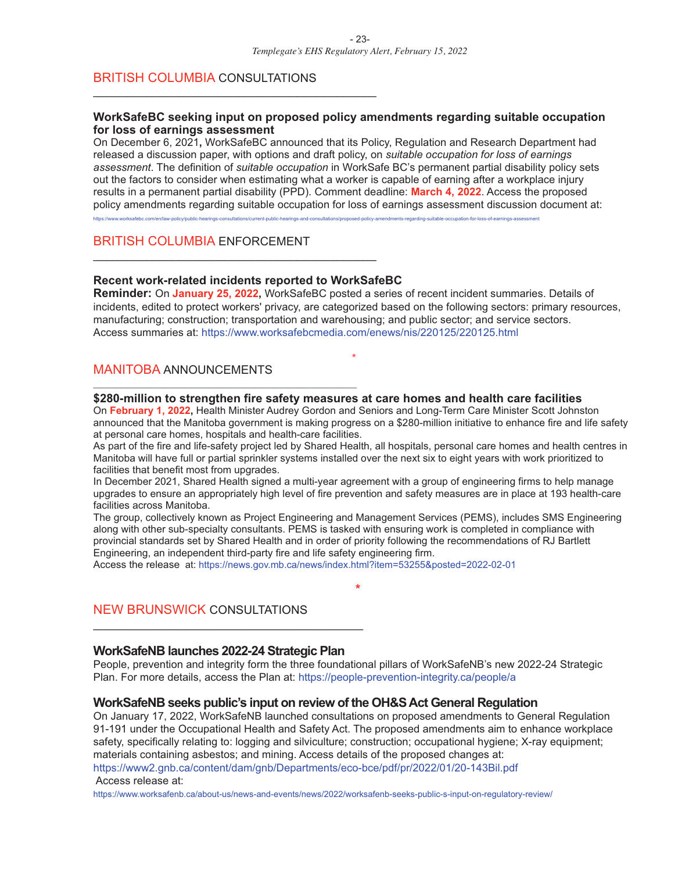#### BRITISH COLUMBIA CONSULTATIONS

\_\_\_\_\_\_\_\_\_\_\_\_\_\_\_\_\_\_\_\_\_\_\_\_\_\_\_\_\_\_\_\_\_\_\_\_\_\_\_\_\_\_\_

#### **WorkSafeBC seeking input on proposed policy amendments regarding suitable occupation for loss of earnings assessment**

On December 6, 2021**,** WorkSafeBC announced that its Policy, Regulation and Research Department had released a discussion paper, with options and draft policy, on *suitable occupation for loss of earnings assessment*. The definition of *suitable occupation* in WorkSafe BC's permanent partial disability policy sets out the factors to consider when estimating what a worker is capable of earning after a workplace injury results in a permanent partial disability (PPD). Comment deadline: **March 4, 2022**. Access the proposed policy amendments regarding suitable occupation for loss of earnings assessment discussion document at:

https://www.worksafebc.com/en/law-policy/public-hearings-consultations/current-public-hearings-and-consultations/proposed-policy-amendments-regarding-suitable-occupation-for-loss-of-earnings-assessment

#### BRITISH COLUMBIA ENFORCEMENT

#### **Recent work-related incidents reported to WorkSafeBC**

\_\_\_\_\_\_\_\_\_\_\_\_\_\_\_\_\_\_\_\_\_\_\_\_\_\_\_\_\_\_\_\_\_\_\_\_\_\_\_\_\_\_\_

\_\_\_\_\_\_\_\_\_\_\_\_\_\_\_\_\_\_\_\_\_\_\_\_\_\_\_\_\_\_\_\_\_\_\_\_\_\_\_\_

**Reminder:** On **January 25, 2022,** WorkSafeBC posted a series of recent incident summaries. Details of incidents, edited to protect workers' privacy, are categorized based on the following sectors: primary resources, manufacturing; construction; transportation and warehousing; and public sector; and service sectors. Access summaries at: https://www.worksafebcmedia.com/enews/nis/220125/220125.html

\*

#### MANITOBA ANNOUNCEMENTS

#### **\$280-million to strengthen fire safety measures at care homes and health care facilities**

On **February 1, 2022,** Health Minister Audrey Gordon and Seniors and Long-Term Care Minister Scott Johnston announced that the Manitoba government is making progress on a \$280-million initiative to enhance fire and life safety at personal care homes, hospitals and health-care facilities.

As part of the fire and life-safety project led by Shared Health, all hospitals, personal care homes and health centres in Manitoba will have full or partial sprinkler systems installed over the next six to eight years with work prioritized to facilities that benefit most from upgrades.

In December 2021, Shared Health signed a multi-year agreement with a group of engineering firms to help manage upgrades to ensure an appropriately high level of fire prevention and safety measures are in place at 193 health-care facilities across Manitoba.

The group, collectively known as Project Engineering and Management Services (PEMS), includes SMS Engineering along with other sub-specialty consultants. PEMS is tasked with ensuring work is completed in compliance with provincial standards set by Shared Health and in order of priority following the recommendations of RJ Bartlett Engineering, an independent third-party fire and life safety engineering firm.

**\***

Access the release at: https://news.gov.mb.ca/news/index.html?item=53255&posted=2022-02-01

#### NEW BRUNSWICK CONSULTATIONS

#### **WorkSafeNB launches 2022-24 Strategic Plan**

\_\_\_\_\_\_\_\_\_\_\_\_\_\_\_\_\_\_\_\_\_\_\_\_\_\_\_\_\_\_\_\_\_\_\_\_\_\_\_\_\_

People, prevention and integrity form the three foundational pillars of WorkSafeNB's new 2022-24 Strategic Plan. For more details, access the Plan at: https://people-prevention-integrity.ca/people/a

#### **WorkSafeNB seeks public's input on review of the OH&SAct General Regulation**

On January 17, 2022, WorkSafeNB launched consultations on proposed amendments to General Regulation 91-191 under the Occupational Health and Safety Act. The proposed amendments aim to enhance workplace safety, specifically relating to: logging and silviculture; construction; occupational hygiene; X-ray equipment; materials containing asbestos; and mining. Access details of the proposed changes at:

https://www2.gnb.ca/content/dam/gnb/Departments/eco-bce/pdf/pr/2022/01/20-143Bil.pdf Access release at:

https://www.worksafenb.ca/about-us/news-and-events/news/2022/worksafenb-seeks-public-s-input-on-regulatory-review/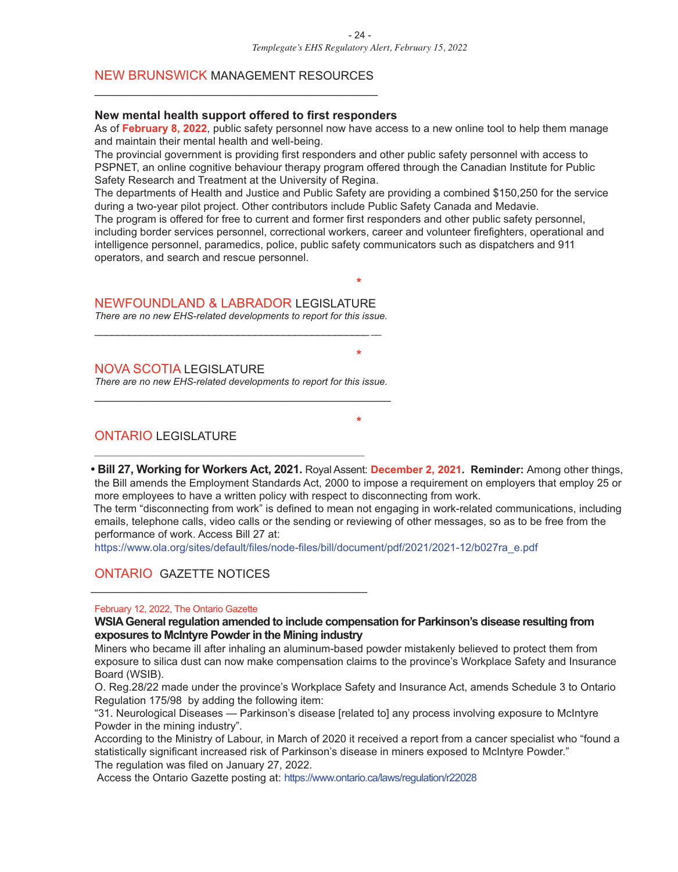#### NEW BRUNSWICK MANAGEMENT RESOURCES \_\_\_\_\_\_\_\_\_\_\_\_\_\_\_\_\_\_\_\_\_\_\_\_\_\_\_\_\_\_\_\_\_\_\_\_\_\_\_\_\_\_\_

#### **New mental health support offered to first responders**

As of **February 8, 2022**, public safety personnel now have access to a new online tool to help them manage and maintain their mental health and well-being.

The provincial government is providing first responders and other public safety personnel with access to PSPNET, an online cognitive behaviour therapy program offered through the Canadian Institute for Public Safety Research and Treatment at the University of Regina.

The departments of Health and Justice and Public Safety are providing a combined \$150,250 for the service during a two-year pilot project. Other contributors include Public Safety Canada and Medavie. The program is offered for free to current and former first responders and other public safety personnel,

including border services personnel, correctional workers, career and volunteer firefighters, operational and intelligence personnel, paramedics, police, public safety communicators such as dispatchers and 911 operators, and search and rescue personnel.

**\***

**\***

#### NEWFOUNDLAND & LABRADOR LEGISLATURE

*There are no new EHS-related developments to report for this issue.* \_\_\_\_\_\_\_\_\_\_\_\_\_\_\_\_\_\_\_\_\_\_\_\_\_\_\_\_\_\_\_\_\_\_\_\_\_\_\_\_\_\_\_\_\_\_\_\_ *\_\_*

#### NOVA SCOTIA LEGISLATURE

*There are no new EHS-related developments to report for this issue.* \_\_\_\_\_\_\_\_\_\_\_\_\_\_\_\_\_\_\_\_\_\_\_\_\_\_\_\_\_\_\_\_\_\_\_\_\_\_\_\_\_\_\_\_\_

\_\_\_\_\_\_\_\_\_\_\_\_\_\_\_\_\_\_\_\_\_\_\_\_\_\_\_\_\_\_\_\_\_\_\_\_\_\_\_\_\_

\_\_\_\_\_\_\_\_\_\_\_\_\_\_\_\_\_\_\_\_\_\_\_\_\_\_\_\_\_\_\_\_\_\_\_\_\_\_\_\_\_\_

#### ONTARIO LEGISLATURE

**• Bill 27, Working for Workers Act, 2021.** Royal Assent: **December 2, 2021. Reminder:** Among other things, the Bill amends the Employment Standards Act, 2000 to impose a requirement on employers that employ 25 or more employees to have a written policy with respect to disconnecting from work.

**\***

The term "disconnecting from work" is defined to mean not engaging in work-related communications, including emails, telephone calls, video calls or the sending or reviewing of other messages, so as to be free from the performance of work. Access Bill 27 at:

https://www.ola.org/sites/default/files/node-files/bill/document/pdf/2021/2021-12/b027ra\_e.pdf

#### ONTARIO GAZETTE NOTICES

#### February 12, 2022, The Ontario Gazette

**WSIAGeneralregulation amended to include compensation for Parkinson's disease resulting from exposures to McIntyre Powderin the Mining industry**

Miners who became ill after inhaling an aluminum-based powder mistakenly believed to protect them from exposure to silica dust can now make compensation claims to the province's Workplace Safety and Insurance Board (WSIB).

O. Reg.28/22 made under the province's Workplace Safety and Insurance Act, amends Schedule 3 to Ontario Regulation 175/98 by adding the following item:

"31. Neurological Diseases — Parkinson's disease [related to] any process involving exposure to McIntyre Powder in the mining industry".

According to the Ministry of Labour, in March of 2020 it received a report from a cancer specialist who "found a statistically significant increased risk of Parkinson's disease in miners exposed to McIntyre Powder." The regulation was filed on January 27, 2022.

Access the Ontario Gazette posting at: https://www.ontario.ca/laws/regulation/r22028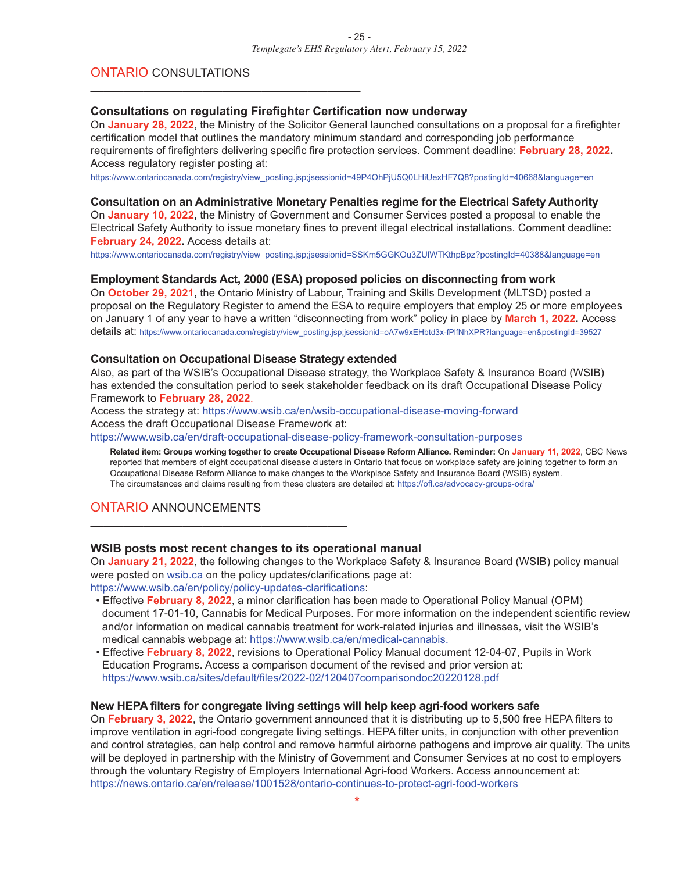#### ONTARIO CONSULTATIONS

#### **Consultations on regulating Firefighter Certification now underway**

\_\_\_\_\_\_\_\_\_\_\_\_\_\_\_\_\_\_\_\_\_\_\_\_\_\_\_\_\_\_\_\_\_\_\_\_\_\_\_\_\_

On **January 28, 2022**, the Ministry of the Solicitor General launched consultations on a proposal for a firefighter certification model that outlines the mandatory minimum standard and corresponding job performance requirements of firefighters delivering specific fire protection services. Comment deadline: **February 28, 2022.** Access regulatory register posting at:

https://www.ontariocanada.com/registry/view\_posting.jsp;jsessionid=49P4OhPjU5Q0LHiUexHF7Q8?postingId=40668&language=en

#### **Consultation on an Administrative Monetary Penalties regime for the Electrical Safety Authority**

On **January 10, 2022,** the Ministry of Government and Consumer Services posted a proposal to enable the Electrical Safety Authority to issue monetary fines to prevent illegal electrical installations. Comment deadline: **February 24, 2022.** Access details at:

https://www.ontariocanada.com/registry/view\_posting.jsp;jsessionid=SSKm5GGKOu3ZUlWTKthpBpz?postingId=40388&language=en

#### **Employment Standards Act, 2000 (ESA) proposed policies on disconnecting from work**

On **October 29, 2021,** the Ontario Ministry of Labour, Training and Skills Development (MLTSD) posted a proposal on the Regulatory Register to amend the ESA to require employers that employ 25 or more employees on January 1 of any year to have a written "disconnecting from work" policy in place by **March 1, 2022.** Access details at: https://www.ontariocanada.com/registry/view\_posting.jsp;jsessionid=oA7w9xEHbtd3x-fPlfNhXPR?language=en&postingId=39527

#### **Consultation on Occupational Disease Strategy extended**

Also, as part of the WSIB's Occupational Disease strategy, the Workplace Safety & Insurance Board (WSIB) has extended the consultation period to seek stakeholder feedback on its draft Occupational Disease Policy Framework to **February 28, 2022**.

Access the strategy at: https://www.wsib.ca/en/wsib-occupational-disease-moving-forward Access the draft Occupational Disease Framework at:

https://www.wsib.ca/en/draft-occupational-disease-policy-framework-consultation-purposes

Related item: Groups working together to create Occupational Disease Reform Alliance. Reminder: On January 11, 2022, CBC News reported that members of eight occupational disease clusters in Ontario that focus on workplace safety are joining together to form an Occupational Disease Reform Alliance to make changes to the Workplace Safety and Insurance Board (WSIB) system. The circumstances and claims resulting from these clusters are detailed at: https://ofl.ca/advocacy-groups-odra/

#### ONTARIO ANNOUNCEMENTS

#### **WSIB posts most recent changes to its operational manual**

On **January 21, 2022**, the following changes to the Workplace Safety & Insurance Board (WSIB) policy manual were posted on wsib.ca on the policy updates/clarifications page at:

https://www.wsib.ca/en/policy/policy-updates-clarifications:

\_\_\_\_\_\_\_\_\_\_\_\_\_\_\_\_\_\_\_\_\_\_\_\_\_\_\_\_\_\_\_\_\_\_\_\_\_\_\_

- Effective **February 8, 2022**, a minor clarification has been made to Operational Policy Manual (OPM) document 17-01-10, Cannabis for Medical Purposes. For more information on the independent scientific review and/or information on medical cannabis treatment for work-related injuries and illnesses, visit the WSIB's medical cannabis webpage at: https://www.wsib.ca/en/medical-cannabis.
- Effective **February 8, 2022**, revisions to Operational Policy Manual document 12-04-07, Pupils in Work Education Programs. Access a comparison document of the revised and prior version at: https://www.wsib.ca/sites/default/files/2022-02/120407comparisondoc20220128.pdf

#### **New HEPA filters for congregate living settings will help keep agri-food workers safe**

On **February 3, 2022**, the Ontario government announced that it is distributing up to 5,500 free HEPA filters to improve ventilation in agri-food congregate living settings. HEPA filter units, in conjunction with other prevention and control strategies, can help control and remove harmful airborne pathogens and improve air quality. The units will be deployed in partnership with the Ministry of Government and Consumer Services at no cost to employers through the voluntary Registry of Employers International Agri-food Workers. Access announcement at: https://news.ontario.ca/en/release/1001528/ontario-continues-to-protect-agri-food-workers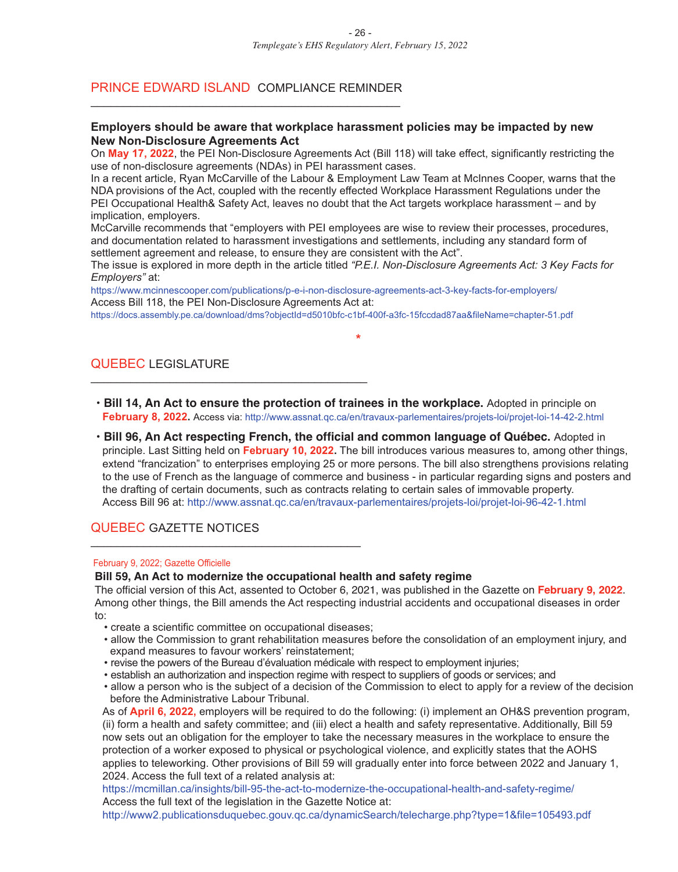#### PRINCE EDWARD ISLAND COMPLIANCE REMINDER \_\_\_\_\_\_\_\_\_\_\_\_\_\_\_\_\_\_\_\_\_\_\_\_\_\_\_\_\_\_\_\_\_\_\_\_\_\_\_\_\_\_\_\_\_\_\_

#### **Employers should be aware that workplace harassment policies may be impacted by new New Non-Disclosure Agreements Act**

On **May 17, 2022**, the PEI Non-Disclosure Agreements Act (Bill 118) will take effect, significantly restricting the use of non-disclosure agreements (NDAs) in PEI harassment cases.

In a recent article, Ryan McCarville of the Labour & Employment Law Team at McInnes Cooper, warns that the NDA provisions of the Act, coupled with the recently effected Workplace Harassment Regulations under the PEI Occupational Health& Safety Act, leaves no doubt that the Act targets workplace harassment – and by implication, employers.

McCarville recommends that "employers with PEI employees are wise to review their processes, procedures, and documentation related to harassment investigations and settlements, including any standard form of settlement agreement and release, to ensure they are consistent with the Act".

The issue is explored in more depth in the article titled *"P.E.I. Non-Disclosure Agreements Act: 3 Key Facts for Employers"* at:

**\***

https://www.mcinnescooper.com/publications/p-e-i-non-disclosure-agreements-act-3-key-facts-for-employers/ Access Bill 118, the PEI Non-Disclosure Agreements Act at:

https://docs.assembly.pe.ca/download/dms?objectId=d5010bfc-c1bf-400f-a3fc-15fccdad87aa&fileName=chapter-51.pdf

#### QUEBEC LEGISLATURE

- **• Bill 14, An Act to ensure the protection of trainees in the workplace.** Adopted in principle on **February 8, 2022.** Access via: http://www.assnat.qc.ca/en/travaux-parlementaires/projets-loi/projet-loi-14-42-2.html
- **• Bill 96, An Act respecting French, the official and common language of Québec.** Adopted in principle. Last Sitting held on **February 10, 2022.** The bill introduces various measures to, among other things, extend "francization" to enterprises employing 25 or more persons. The bill also strengthens provisions relating to the use of French as the language of commerce and business - in particular regarding signs and posters and the drafting of certain documents, such as contracts relating to certain sales of immovable property. Access Bill 96 at: http://www.assnat.qc.ca/en/travaux-parlementaires/projets-loi/projet-loi-96-42-1.html

#### QUEBEC GAZETTE NOTICES

#### February 9, 2022; Gazette Officielle

#### **Bill 59, An Act to modernize the occupational health and safety regime**

The official version of this Act, assented to October 6, 2021, was published in the Gazette on **February 9, 2022**. Among other things, the Bill amends the Act respecting industrial accidents and occupational diseases in order to:

• create a scientific committee on occupational diseases;

\_\_\_\_\_\_\_\_\_\_\_\_\_\_\_\_\_\_\_\_\_\_\_\_\_\_\_\_\_\_\_\_\_\_\_\_\_\_\_\_\_

\_\_\_\_\_\_\_\_\_\_\_\_\_\_\_\_\_\_\_\_\_\_\_\_\_\_\_\_\_\_\_\_\_\_\_\_\_\_\_\_\_\_

- allow the Commission to grant rehabilitation measures before the consolidation of an employment injury, and expand measures to favour workers' reinstatement;
- revise the powers of the Bureau d'évaluation médicale with respect to employment injuries;
- establish an authorization and inspection regime with respect to suppliers of goods or services; and
- allow a person who is the subject of a decision of the Commission to elect to apply for a review of the decision before the Administrative Labour Tribunal.

As of **April 6, 2022,** employers will be required to do the following: (i) implement an OH&S prevention program, (ii) form a health and safety committee; and (iii) elect a health and safety representative. Additionally, Bill 59 now sets out an obligation for the employer to take the necessary measures in the workplace to ensure the protection of a worker exposed to physical or psychological violence, and explicitly states that the AOHS applies to teleworking. Other provisions of Bill 59 will gradually enter into force between 2022 and January 1, 2024. Access the full text of a related analysis at:

https://mcmillan.ca/insights/bill-95-the-act-to-modernize-the-occupational-health-and-safety-regime/ Access the full text of the legislation in the Gazette Notice at:

http://www2.publicationsduquebec.gouv.qc.ca/dynamicSearch/telecharge.php?type=1&file=105493.pdf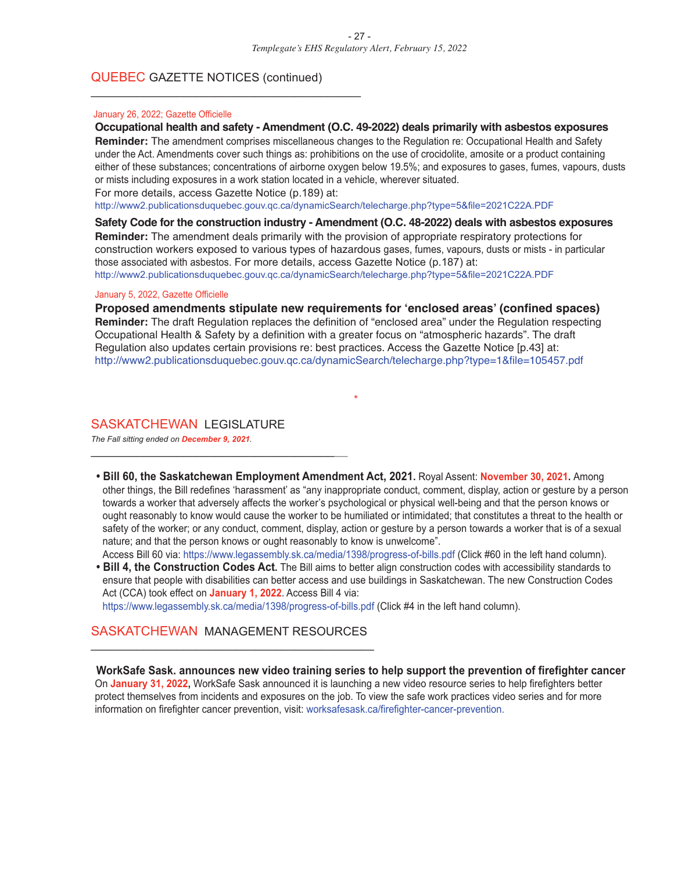#### QUEBEC GAZETTE NOTICES (continued)

\_\_\_\_\_\_\_\_\_\_\_\_\_\_\_\_\_\_\_\_\_\_\_\_\_\_\_\_\_\_\_\_\_\_\_\_\_\_\_\_\_

#### January 26, 2022; Gazette Officielle

#### **Occupational health and safety - Amendment (O.C. 49-2022) deals primarily with asbestos exposures**

**Reminder:** The amendment comprises miscellaneous changes to the Regulation re: Occupational Health and Safety under the Act. Amendments cover such things as: prohibitions on the use of crocidolite, amosite or a product containing either of these substances; concentrations of airborne oxygen below 19.5%; and exposures to gases, fumes, vapours, dusts or mists including exposures in a work station located in a vehicle, wherever situated.

For more details, access Gazette Notice (p.189) at:

http://www2.publicationsduquebec.gouv.qc.ca/dynamicSearch/telecharge.php?type=5&file=2021C22A.PDF

**Safety Code for the construction industry - Amendment (O.C. 48-2022) deals with asbestos exposures Reminder:** The amendment deals primarily with the provision of appropriate respiratory protections for construction workers exposed to various types of hazardous gases, fumes, vapours, dusts or mists - in particular those associated with asbestos. For more details, access Gazette Notice (p.187) at: http://www2.publicationsduquebec.gouv.qc.ca/dynamicSearch/telecharge.php?type=5&file=2021C22A.PDF

#### January 5, 2022, Gazette Officielle

**Proposed amendments stipulate new requirements for 'enclosed areas' (confined spaces) Reminder:** The draft Regulation replaces the definition of "enclosed area" under the Regulation respecting Occupational Health & Safety by a definition with a greater focus on "atmospheric hazards". The draft Regulation also updates certain provisions re: best practices. Access the Gazette Notice [p.43] at: http://www2.publicationsduquebec.gouv.qc.ca/dynamicSearch/telecharge.php?type=1&file=105457.pdf

\*

#### SASKATCHEWAN LEGISLATURE

\_\_\_\_\_\_\_\_\_\_\_\_\_\_\_\_\_\_\_\_\_\_\_\_\_\_\_\_\_\_\_\_\_\_\_\_\_\_\_

*The Fall sitting ended on December 9, 2021.*

**• Bill 60, the Saskatchewan Employment Amendment Act, 2021.** Royal Assent: **November 30, 2021.** Among other things, the Bill redefines 'harassment' as "any inappropriate conduct, comment, display, action or gesture by a person towards a worker that adversely affects the worker's psychological or physical well-being and that the person knows or ought reasonably to know would cause the worker to be humiliated or intimidated; that constitutes a threat to the health or safety of the worker; or any conduct, comment, display, action or gesture by a person towards a worker that is of a sexual nature; and that the person knows or ought reasonably to know is unwelcome".

Access Bill 60 via: https://www.legassembly.sk.ca/media/1398/progress-of-bills.pdf (Click #60 in the left hand column).

**• Bill 4, the Construction Codes Act.** The Bill aims to better align construction codes with accessibility standards to ensure that people with disabilities can better access and use buildings in Saskatchewan. The new Construction Codes Act (CCA) took effect on **January 1, 2022**. Access Bill 4 via:

https://www.legassembly.sk.ca/media/1398/progress-of-bills.pdf (Click #4 in the left hand column).

#### SASKATCHEWAN MANAGEMENT RESOURCES \_\_\_\_\_\_\_\_\_\_\_\_\_\_\_\_\_\_\_\_\_\_\_\_\_\_\_\_\_\_\_\_\_\_\_\_\_\_\_\_\_\_\_

**WorkSafe Sask. announces new video training series to help support the prevention of firefighter cancer** On **January 31, 2022,** WorkSafe Sask announced it is launching a new video resource series to help firefighters better protect themselves from incidents and exposures on the job. To view the safe work practices video series and for more information on firefighter cancer prevention, visit: worksafesask.ca/firefighter-cancer-prevention.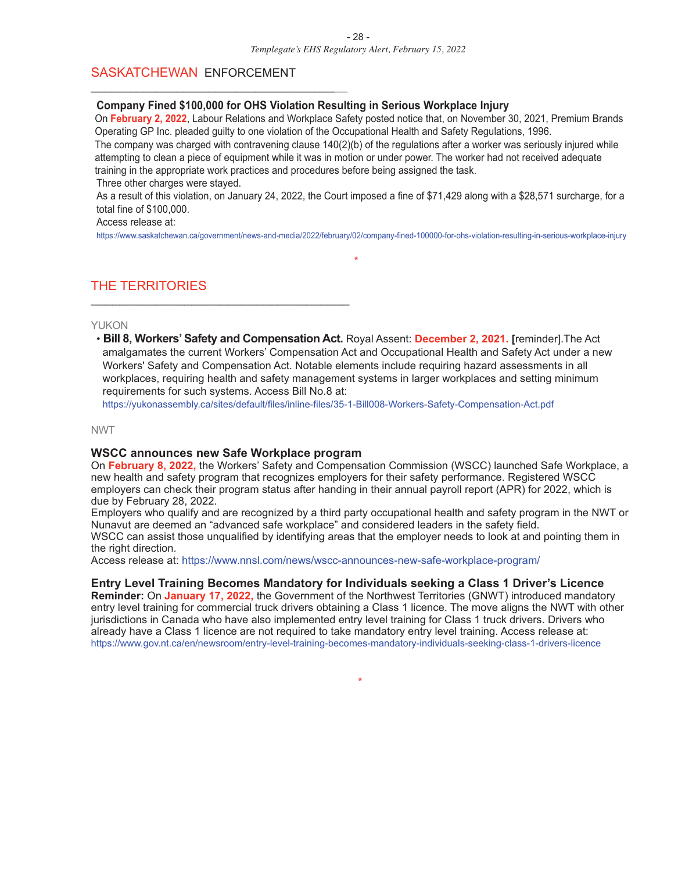#### SASKATCHEWAN ENFORCEMENT

\_\_\_\_\_\_\_\_\_\_\_\_\_\_\_\_\_\_\_\_\_\_\_\_\_\_\_\_\_\_\_\_\_\_\_\_\_\_\_

#### **Company Fined \$100,000 for OHS Violation Resulting in Serious Workplace Injury**

On **February 2, 2022**, Labour Relations and Workplace Safety posted notice that, on November 30, 2021, Premium Brands Operating GP Inc. pleaded guilty to one violation of the Occupational Health and Safety Regulations, 1996.

The company was charged with contravening clause  $140(2)(b)$  of the regulations after a worker was seriously injured while attempting to clean a piece of equipment while it was in motion or under power. The worker had not received adequate training in the appropriate work practices and procedures before being assigned the task.

Three other charges were stayed.

As a result of this violation, on January 24, 2022, the Court imposed a fine of \$71,429 along with a \$28,571 surcharge, for a total fine of \$100,000.

#### Access release at:

https://www.saskatchewan.ca/government/news-and-media/2022/february/02/company-fined-100000-for-ohs-violation-resulting-in-serious-workplace-injury

\*

#### THE TERRITORIES \_\_\_\_\_\_\_\_\_\_\_\_\_\_\_\_\_\_\_\_\_\_\_\_\_\_\_\_\_\_\_\_\_\_\_\_

#### YUKON

• **Bill 8, Workers'Safety and Compensation Act.** Royal Assent: **December 2, 2021. [**reminder].The Act amalgamates the current Workers' Compensation Act and Occupational Health and Safety Act under a new Workers' Safety and Compensation Act. Notable elements include requiring hazard assessments in all workplaces, requiring health and safety management systems in larger workplaces and setting minimum requirements for such systems. Access Bill No.8 at:

https://yukonassembly.ca/sites/default/files/inline-files/35-1-Bill008-Workers-Safety-Compensation-Act.pdf

#### NWT

#### **WSCC announces new Safe Workplace program**

On **February 8, 2022,** the Workers' Safety and Compensation Commission (WSCC) launched Safe Workplace, a new health and safety program that recognizes employers for their safety performance. Registered WSCC employers can check their program status after handing in their annual payroll report (APR) for 2022, which is due by February 28, 2022.

Employers who qualify and are recognized by a third party occupational health and safety program in the NWT or Nunavut are deemed an "advanced safe workplace" and considered leaders in the safety field. WSCC can assist those unqualified by identifying areas that the employer needs to look at and pointing them in the right direction.

Access release at: https://www.nnsl.com/news/wscc-announces-new-safe-workplace-program/

#### **Entry Level Training Becomes Mandatory for Individuals seeking a Class 1 Driver's Licence**

**Reminder:** On **January 17, 2022,** the Government of the Northwest Territories (GNWT) introduced mandatory entry level training for commercial truck drivers obtaining a Class 1 licence. The move aligns the NWT with other jurisdictions in Canada who have also implemented entry level training for Class 1 truck drivers. Drivers who already have a Class 1 licence are not required to take mandatory entry level training. Access release at: https://www.gov.nt.ca/en/newsroom/entry-level-training-becomes-mandatory-individuals-seeking-class-1-drivers-licence

\*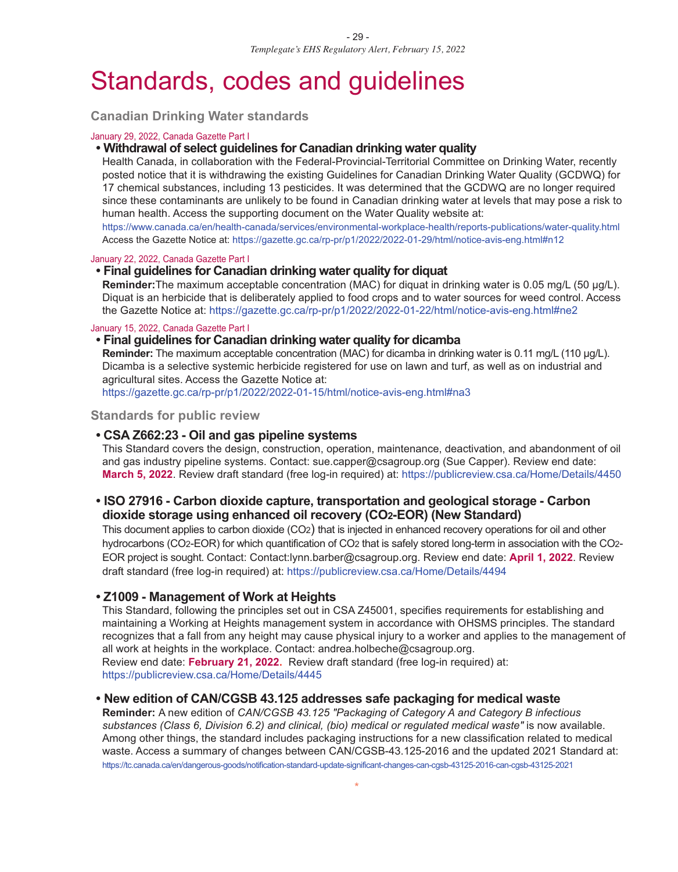## Standards, codes and guidelines

**Canadian Drinking Water standards**

#### January 29, 2022, Canada Gazette Part I

#### **• Withdrawal of select guidelines for Canadian drinking water quality**

Health Canada, in collaboration with the Federal-Provincial-Territorial Committee on Drinking Water, recently posted notice that it is withdrawing the existing Guidelines for Canadian Drinking Water Quality (GCDWQ) for 17 chemical substances, including 13 pesticides. It was determined that the GCDWQ are no longer required since these contaminants are unlikely to be found in Canadian drinking water at levels that may pose a risk to human health. Access the supporting document on the Water Quality website at:

https://www.canada.ca/en/health-canada/services/environmental-workplace-health/reports-publications/water-quality.html Access the Gazette Notice at: https://gazette.gc.ca/rp-pr/p1/2022/2022-01-29/html/notice-avis-eng.html#n12

#### January 22, 2022, Canada Gazette Part I

#### **• Final guidelines for Canadian drinking water quality for diquat**

**Reminder:**The maximum acceptable concentration (MAC) for diquat in drinking water is 0.05 mg/L (50 µg/L). Diquat is an herbicide that is deliberately applied to food crops and to water sources for weed control. Access the Gazette Notice at: https://gazette.gc.ca/rp-pr/p1/2022/2022-01-22/html/notice-avis-eng.html#ne2

January 15, 2022, Canada Gazette Part I

#### **• Final guidelines for Canadian drinking water quality for dicamba**

**Reminder:** The maximum acceptable concentration (MAC) for dicamba in drinking water is 0.11 mg/L (110 μg/L). Dicamba is a selective systemic herbicide registered for use on lawn and turf, as well as on industrial and agricultural sites. Access the Gazette Notice at:

https://gazette.gc.ca/rp-pr/p1/2022/2022-01-15/html/notice-avis-eng.html#na3

**Standards for public review**

#### **• CSA Z662:23 - Oil and gas pipeline systems**

This Standard covers the design, construction, operation, maintenance, deactivation, and abandonment of oil and gas industry pipeline systems. Contact: sue.capper@csagroup.org (Sue Capper). Review end date: **March 5, 2022**. Review draft standard (free log-in required) at: https://publicreview.csa.ca/Home/Details/4450

#### **• ISO 27916 - Carbon dioxide capture, transportation and geological storage - Carbon dioxide storage using enhanced oil recovery (CO2-EOR) (New Standard)**

This document applies to carbon dioxide (CO2) that is injected in enhanced recovery operations for oil and other hydrocarbons (CO2-EOR) for which quantification of CO2 that is safely stored long-term in association with the CO2- EOR project is sought. Contact: Contact:lynn.barber@csagroup.org. Review end date: **April 1, 2022**. Review draft standard (free log-in required) at: https://publicreview.csa.ca/Home/Details/4494

#### **• Z1009 - Management of Work at Heights**

This Standard, following the principles set out in CSA Z45001, specifies requirements for establishing and maintaining a Working at Heights management system in accordance with OHSMS principles. The standard recognizes that a fall from any height may cause physical injury to a worker and applies to the management of all work at heights in the workplace. Contact: andrea.holbeche@csagroup.org.

Review end date: **February 21, 2022.** Review draft standard (free log-in required) at: https://publicreview.csa.ca/Home/Details/4445

#### **• New edition of CAN/CGSB 43.125 addresses safe packaging for medical waste**

**Reminder:** A new edition of *CAN/CGSB 43.125 "Packaging of Category A and Category B infectious substances (Class 6, Division 6.2) and clinical, (bio) medical or regulated medical waste"* is now available. Among other things, the standard includes packaging instructions for a new classification related to medical waste. Access a summary of changes between CAN/CGSB-43.125-2016 and the updated 2021 Standard at: https://tc.canada.ca/en/dangerous-goods/notification-standard-update-significant-changes-can-cgsb-43125-2016-can-cgsb-43125-2021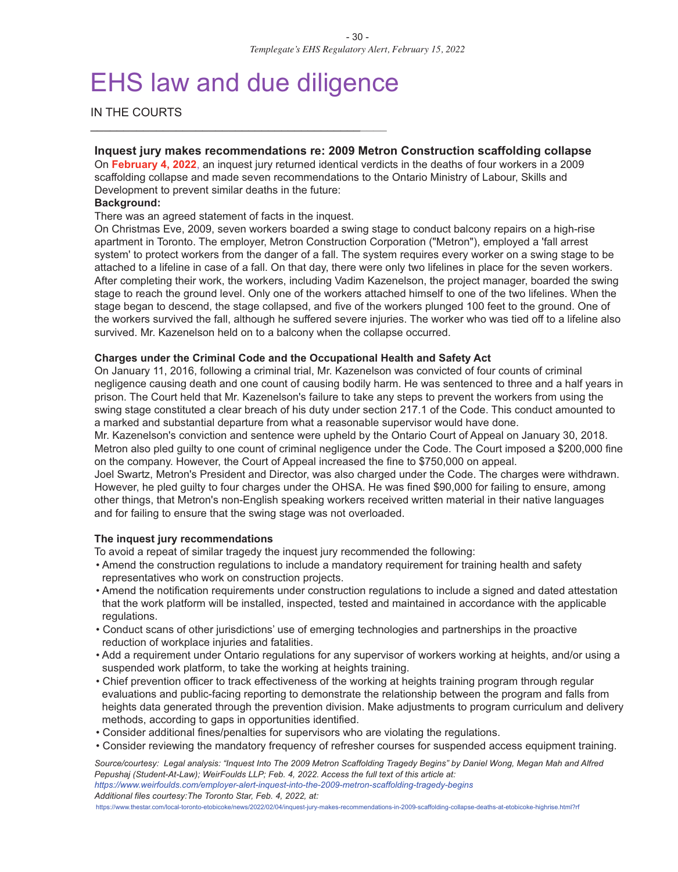## EHS law and due diligence

\_\_\_\_\_\_\_\_\_\_\_\_\_\_\_\_\_\_\_\_\_\_\_\_\_\_\_\_\_\_\_\_\_\_\_\_\_\_\_\_\_\_\_\_\_

IN THE COURTS

#### **Inquest jury makes recommendations re: 2009 Metron Construction scaffolding collapse**

On **February 4, 2022**, an inquest jury returned identical verdicts in the deaths of four workers in a 2009 scaffolding collapse and made seven recommendations to the Ontario Ministry of Labour, Skills and Development to prevent similar deaths in the future:

#### **Background:**

There was an agreed statement of facts in the inquest.

On Christmas Eve, 2009, seven workers boarded a swing stage to conduct balcony repairs on a high-rise apartment in Toronto. The employer, Metron Construction Corporation ("Metron"), employed a 'fall arrest system' to protect workers from the danger of a fall. The system requires every worker on a swing stage to be attached to a lifeline in case of a fall. On that day, there were only two lifelines in place for the seven workers. After completing their work, the workers, including Vadim Kazenelson, the project manager, boarded the swing stage to reach the ground level. Only one of the workers attached himself to one of the two lifelines. When the stage began to descend, the stage collapsed, and five of the workers plunged 100 feet to the ground. One of the workers survived the fall, although he suffered severe injuries. The worker who was tied off to a lifeline also survived. Mr. Kazenelson held on to a balcony when the collapse occurred.

#### **Charges under the Criminal Code and the Occupational Health and Safety Act**

On January 11, 2016, following a criminal trial, Mr. Kazenelson was convicted of four counts of criminal negligence causing death and one count of causing bodily harm. He was sentenced to three and a half years in prison. The Court held that Mr. Kazenelson's failure to take any steps to prevent the workers from using the swing stage constituted a clear breach of his duty under section 217.1 of the Code. This conduct amounted to a marked and substantial departure from what a reasonable supervisor would have done.

Mr. Kazenelson's conviction and sentence were upheld by the Ontario Court of Appeal on January 30, 2018. Metron also pled guilty to one count of criminal negligence under the Code. The Court imposed a \$200,000 fine on the company. However, the Court of Appeal increased the fine to \$750,000 on appeal.

Joel Swartz, Metron's President and Director, was also charged under the Code. The charges were withdrawn. However, he pled guilty to four charges under the OHSA. He was fined \$90,000 for failing to ensure, among other things, that Metron's non-English speaking workers received written material in their native languages and for failing to ensure that the swing stage was not overloaded.

#### **The inquest jury recommendations**

To avoid a repeat of similar tragedy the inquest jury recommended the following:

- Amend the construction regulations to include a mandatory requirement for training health and safety representatives who work on construction projects.
- Amend the notification requirements under construction regulations to include a signed and dated attestation that the work platform will be installed, inspected, tested and maintained in accordance with the applicable regulations.
- Conduct scans of other jurisdictions' use of emerging technologies and partnerships in the proactive reduction of workplace injuries and fatalities.
- Add a requirement under Ontario regulations for any supervisor of workers working at heights, and/or using a suspended work platform, to take the working at heights training.
- Chief prevention officer to track effectiveness of the working at heights training program through regular evaluations and public-facing reporting to demonstrate the relationship between the program and falls from heights data generated through the prevention division. Make adjustments to program curriculum and delivery methods, according to gaps in opportunities identified.
- Consider additional fines/penalties for supervisors who are violating the regulations.
- Consider reviewing the mandatory frequency of refresher courses for suspended access equipment training.

Source/courtesy: Legal analysis: "Inquest Into The 2009 Metron Scaffolding Tragedy Begins" by Daniel Wong, Megan Mah and Alfred *Pepushaj (Student-At-Law); WeirFoulds LLP; Feb. 4, 2022. Access the full text of this article at: https://www.weirfoulds.com/employer-alert-inquest-into-the-2009-metron-scaffolding-tragedy-begins Additional files courtesy:The Toronto Star, Feb. 4, 2022, at:*

https://www.thestar.com/local-toronto-etobicoke/news/2022/02/04/inquest-jury-makes-recommendations-in-2009-scaffolding-collapse-deaths-at-etobicoke-highrise.html?rf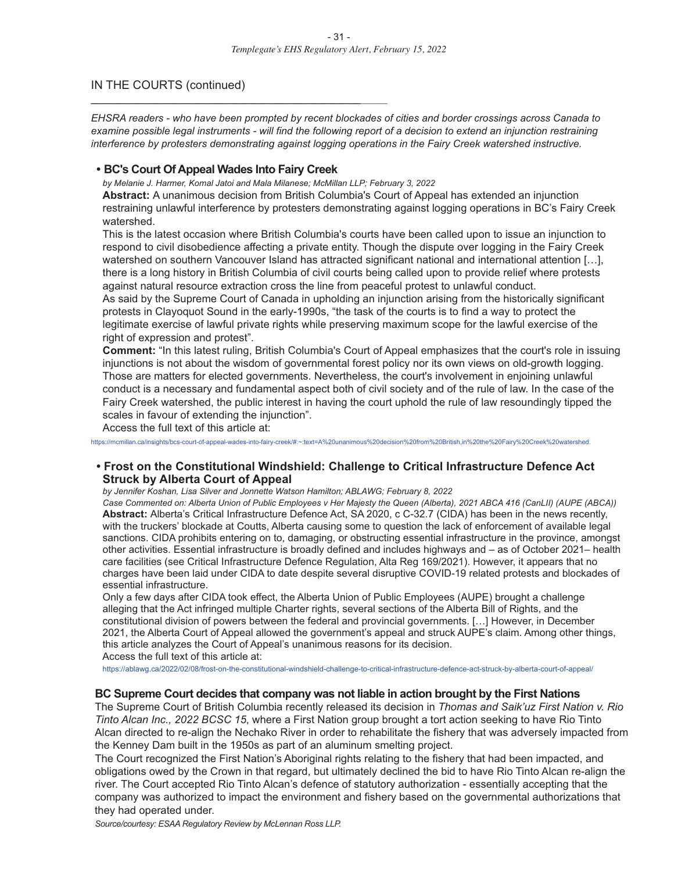#### IN THE COURTS (continued)

EHSRA readers - who have been prompted by recent blockades of cities and border crossings across Canada to examine possible legal instruments - will find the following report of a decision to extend an injunction restraining *interference by protesters demonstrating against logging operations in the Fairy Creek watershed instructive.*

#### **• BC's Court Of Appeal Wades Into Fairy Creek**

\_\_\_\_\_\_\_\_\_\_\_\_\_\_\_\_\_\_\_\_\_\_\_\_\_\_\_\_\_\_\_\_\_\_\_\_\_\_\_\_\_\_\_\_\_

*by Melanie J. Harmer, Komal Jatoi and Mala Milanese; McMillan LLP; February 3, 2022*

**Abstract:** A unanimous decision from British Columbia's Court of Appeal has extended an injunction restraining unlawful interference by protesters demonstrating against logging operations in BC's Fairy Creek watershed.

This is the latest occasion where British Columbia's courts have been called upon to issue an injunction to respond to civil disobedience affecting a private entity. Though the dispute over logging in the Fairy Creek watershed on southern Vancouver Island has attracted significant national and international attention [...], there is a long history in British Columbia of civil courts being called upon to provide relief where protests against natural resource extraction cross the line from peaceful protest to unlawful conduct.

As said by the Supreme Court of Canada in upholding an injunction arising from the historically significant protests in Clayoquot Sound in the early-1990s, "the task of the courts is to find a way to protect the legitimate exercise of lawful private rights while preserving maximum scope for the lawful exercise of the right of expression and protest".

**Comment:** "In this latest ruling, British Columbia's Court of Appeal emphasizes that the court's role in issuing injunctions is not about the wisdom of governmental forest policy nor its own views on old-growth logging. Those are matters for elected governments. Nevertheless, the court's involvement in enjoining unlawful conduct is a necessary and fundamental aspect both of civil society and of the rule of law. In the case of the Fairy Creek watershed, the public interest in having the court uphold the rule of law resoundingly tipped the scales in favour of extending the injunction".

Access the full text of this article at:

https://mcmillan.ca/insights/bcs-court-of-appeal-wades-into-fairy-creek/#:~:text=A%20unanimous%20decision%20from%20British,in%20the%20Fairy%20Creek%20watershed.

#### **• Frost on the Constitutional Windshield: Challenge to Critical Infrastructure Defence Act Struck by Alberta Court of Appeal**

*by Jennifer Koshan, Lisa Silver and Jonnette Watson Hamilton; ABLAWG; February 8, 2022*

Case Commented on: Alberta Union of Public Employees v Her Majesty the Queen (Alberta), 2021 ABCA 416 (CanLII) (AUPE (ABCA)) **Abstract:** Alberta's Critical Infrastructure Defence Act, SA 2020, c C-32.7 (CIDA) has been in the news recently, with the truckers' blockade at Coutts, Alberta causing some to question the lack of enforcement of available legal sanctions. CIDA prohibits entering on to, damaging, or obstructing essential infrastructure in the province, amongst other activities. Essential infrastructure is broadly defined and includes highways and – as of October 2021– health care facilities (see Critical Infrastructure Defence Regulation, Alta Reg 169/2021). However, it appears that no charges have been laid under CIDA to date despite several disruptive COVID-19 related protests and blockades of essential infrastructure.

Only a few days after CIDA took effect, the Alberta Union of Public Employees (AUPE) brought a challenge alleging that the Act infringed multiple Charter rights, several sections of the Alberta Bill of Rights, and the constitutional division of powers between the federal and provincial governments. […] However, in December 2021, the Alberta Court of Appeal allowed the government's appeal and struck AUPE's claim. Among other things, this article analyzes the Court of Appeal's unanimous reasons for its decision.

Access the full text of this article at:

https://ablawg.ca/2022/02/08/frost-on-the-constitutional-windshield-challenge-to-critical-infrastructure-defence-act-struck-by-alberta-court-of-appeal/

#### **BC Supreme Court decides that company was not liable in action brought by the First Nations**

The Supreme Court of British Columbia recently released its decision in *Thomas and Saik'uz First Nation v. Rio Tinto Alcan Inc., 2022 BCSC 15*, where a First Nation group brought a tort action seeking to have Rio Tinto Alcan directed to re-align the Nechako River in order to rehabilitate the fishery that was adversely impacted from the Kenney Dam built in the 1950s as part of an aluminum smelting project.

The Court recognized the First Nation's Aboriginal rights relating to the fishery that had been impacted, and obligations owed by the Crown in that regard, but ultimately declined the bid to have Rio Tinto Alcan re-align the river. The Court accepted Rio Tinto Alcan's defence of statutory authorization - essentially accepting that the company was authorized to impact the environment and fishery based on the governmental authorizations that they had operated under.

*Source/courtesy: ESAA Regulatory Review by McLennan Ross LLP.*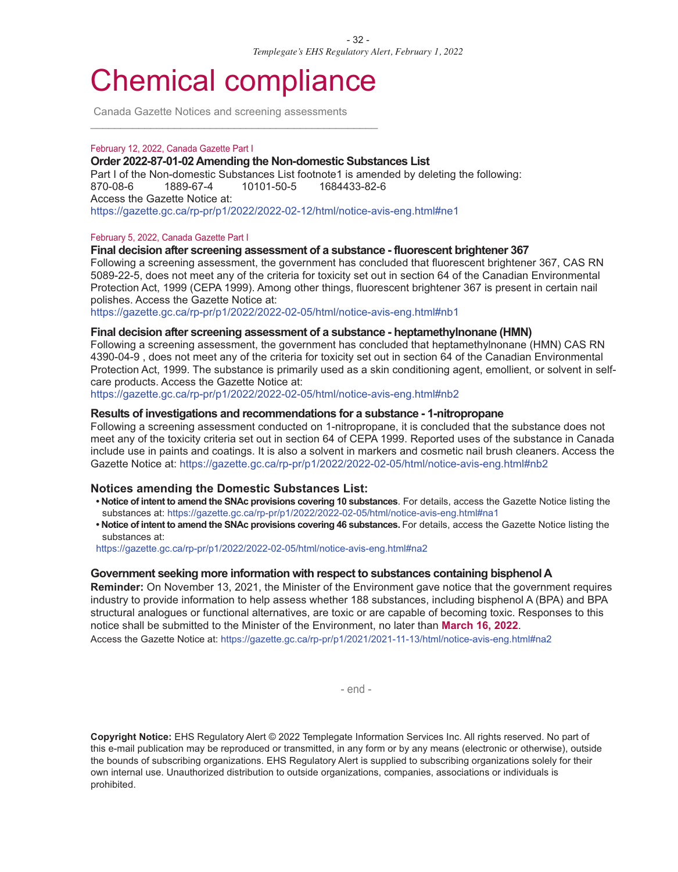## Chemical compliance

 $\overline{a_1}$  ,  $\overline{a_2}$  ,  $\overline{a_3}$  ,  $\overline{a_4}$  ,  $\overline{a_5}$  ,  $\overline{a_6}$  ,  $\overline{a_7}$  ,  $\overline{a_8}$  ,  $\overline{a_9}$  ,  $\overline{a_9}$  ,  $\overline{a_9}$  ,  $\overline{a_9}$  ,  $\overline{a_9}$  ,  $\overline{a_9}$  ,  $\overline{a_9}$  ,  $\overline{a_9}$  ,  $\overline{a_9}$  ,

Canada Gazette Notices and screening assessments

#### February 12, 2022, Canada Gazette Part I

#### **Order 2022-87-01-02 Amending the Non-domestic Substances List**

Part I of the Non-domestic Substances List footnote1 is amended by deleting the following: 870-08-6 1889-67-4 10101-50-5 1684433-82-6 Access the Gazette Notice at: https://gazette.gc.ca/rp-pr/p1/2022/2022-02-12/html/notice-avis-eng.html#ne1

#### February 5, 2022, Canada Gazette Part I

#### **Final decision after screening assessment of a substance - fluorescent brightener 367**

Following a screening assessment, the government has concluded that fluorescent brightener 367, CAS RN 5089-22-5, does not meet any of the criteria for toxicity set out in section 64 of the Canadian Environmental Protection Act, 1999 (CEPA 1999). Among other things, fluorescent brightener 367 is present in certain nail polishes. Access the Gazette Notice at:

https://gazette.gc.ca/rp-pr/p1/2022/2022-02-05/html/notice-avis-eng.html#nb1

#### **Final decision after screening assessment of a substance - heptamethylnonane (HMN)**

Following a screening assessment, the government has concluded that heptamethylnonane (HMN) CAS RN 4390-04-9 , does not meet any of the criteria for toxicity set out in section 64 of the Canadian Environmental Protection Act, 1999. The substance is primarily used as a skin conditioning agent, emollient, or solvent in selfcare products. Access the Gazette Notice at:

https://gazette.gc.ca/rp-pr/p1/2022/2022-02-05/html/notice-avis-eng.html#nb2

#### **Results of investigations and recommendations for a substance - 1-nitropropane**

Following a screening assessment conducted on 1-nitropropane, it is concluded that the substance does not meet any of the toxicity criteria set out in section 64 of CEPA 1999. Reported uses of the substance in Canada include use in paints and coatings. It is also a solvent in markers and cosmetic nail brush cleaners. Access the Gazette Notice at: https://gazette.gc.ca/rp-pr/p1/2022/2022-02-05/html/notice-avis-eng.html#nb2

#### **Notices amending the Domestic Substances List:**

- **• Notice of intent to amend the SNAc provisions covering 10 substances**. For details, access the Gazette Notice listing the substances at: https://gazette.gc.ca/rp-pr/p1/2022/2022-02-05/html/notice-avis-eng.html#na1
- **• Notice of intent to amend the SNAc provisions covering 46 substances.** For details, access the Gazette Notice listing the substances at:

https://gazette.gc.ca/rp-pr/p1/2022/2022-02-05/html/notice-avis-eng.html#na2

#### **Government seeking more information with respect to substances containing bisphenol A**

**Reminder:** On November 13, 2021, the Minister of the Environment gave notice that the government requires industry to provide information to help assess whether 188 substances, including bisphenol A (BPA) and BPA structural analogues or functional alternatives, are toxic or are capable of becoming toxic. Responses to this notice shall be submitted to the Minister of the Environment, no later than **March 16, 2022**. Access the Gazette Notice at: https://gazette.gc.ca/rp-pr/p1/2021/2021-11-13/html/notice-avis-eng.html#na2

- end -

**Copyright Notice:** EHS Regulatory Alert © 2022 Templegate Information Services Inc. All rights reserved. No part of this e-mail publication may be reproduced or transmitted, in any form or by any means (electronic or otherwise), outside the bounds of subscribing organizations. EHS Regulatory Alert is supplied to subscribing organizations solely for their own internal use. Unauthorized distribution to outside organizations, companies, associations or individuals is prohibited.